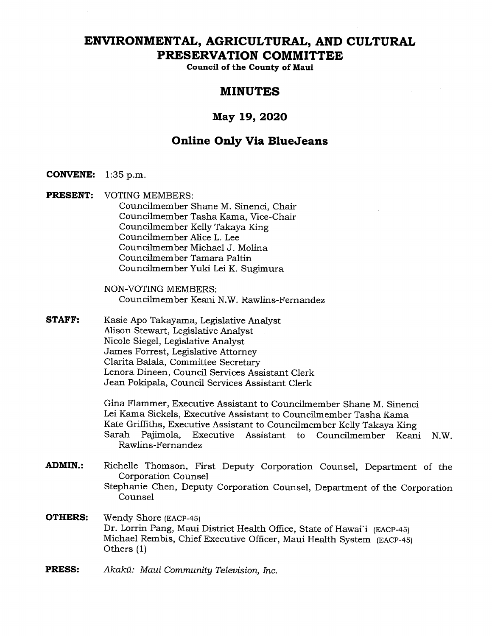# **ENVIRONMENTAL, AGRICULTURAL, AND CULTURAL PRESERVATION COMMITTEE**

**Council of the County of Maui** 

## **MINUTES**

## **May 19, 2020**

## **Online Only Via BlueJeans**

- **CONVENE: 1:35** p.m.
- **PRESENT:** VOTING MEMBERS: Councilmember Shane M. Sinenci, Chair Councilmember Tasha Kama, Vice-Chair Councilmember Kelly Takaya King Councilmember Alice L. Lee Councilmember Michael J. Molina Councilmember Tamara Paltin Councilmember Yuki Lei K. Sugimura

NON-VOTING MEMBERS: Councilmember Keani N.W. Rawlins-Fernandez

**STAFF:** Kasie Apo Takayama, Legislative Analyst Alison Stewart, Legislative Analyst Nicole Siegel, Legislative Analyst James Forrest, Legislative Attorney Clarita Balala, Committee Secretary Lenora Dineen, Council Services Assistant Clerk Jean Pokipala, Council Services Assistant Clerk

> Gina Flammer, Executive Assistant to Councilmember Shane M. Sinenci Lei Kama Sickels, Executive Assistant to Councilmember Tasha Kama Kate Griffiths, Executive Assistant to Councilmember Kelly Takaya King Sarah Pajimola, Executive Assistant to Councilmember Keani N.W. Rawlins-Fernandez

- **ADMIN.:** Richelle Thomson, First Deputy Corporation Counsel, Department of the Corporation Counsel Stephanie Chen, Deputy Corporation Counsel, Department of the Corporation Counsel
- **OTHERS:** Wendy Shore (EACP-45) Dr. Lorrin Pang, Maui District Health Office, State of Hawai'i (EACP-45) Michael Rembis, Chief Executive Officer, Maui Health System (EACP-45) Others (1)
- **PRESS:** *Akakii: Maui Community Television, Inc.*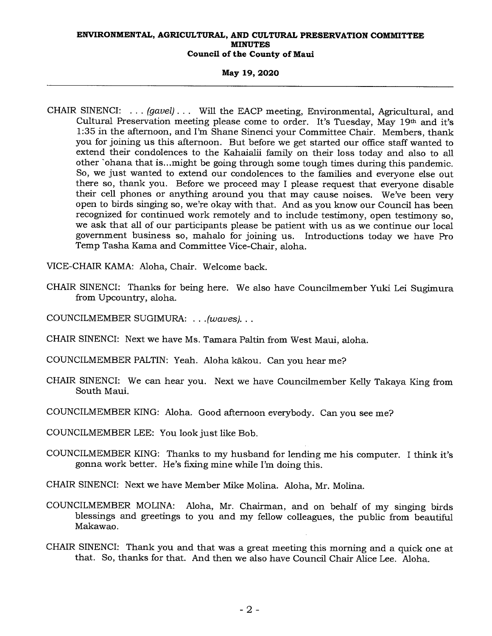## **May 19, 2020**

- CHAIR SINENCI: . . . *(gavel) . . .* Will the EACP meeting, Environmental, Agricultural, and Cultural Preservation meeting please come to order. It's Tuesday, May 19th and it's 1:35 in the afternoon, and I'm Shane Sinenci your Committee Chair. Members, thank you for joining us this afternoon. But before we get started our office staff wanted to extend their condolences to the Kahaialii family on their loss today and also to all other 'ohana that is...might be going through some tough times during this pandemic. So, we just wanted to extend our condolences to the families and everyone else out there so, thank you. Before we proceed may I please request that everyone disable their cell phones or anything around you that may cause noises. We've been very open to birds singing so, we're okay with that. And as you know our Council has been recognized for continued work remotely and to include testimony, open testimony so, we ask that all of our participants please be patient with us as we continue our local government business so, mahalo for joining us. Introductions today we have Pro Temp Tasha Kama and Committee Vice-Chair, aloha.
- VICE-CHAIR KAMA: Aloha, Chair. Welcome back.
- CHAIR SINENCI: Thanks for being here. We also have Councilmember Yuki Lei Sugimura from Upcountry, aloha.
- COUNCILMEMBER SUGIMURA: . . *.(waves). . .*
- CHAIR SINENCI: Next we have Ms. Tamara Paltin from West Maui, aloha.
- COUNCILMEMBER PALTIN: Yeah. Aloha kakou. Can you hear me?
- CHAIR SINENCI: We can hear you. Next we have Councilmember Kelly Takaya King from South Maui.
- COUNCILMEMBER KING: Aloha. Good afternoon everybody. Can you see me?
- COUNCILMEMBER LEE: You look just like Bob.
- COUNCILMEMBER KING: Thanks to my husband for lending me his computer. I think it's gonna work better. He's fixing mine while I'm doing this.
- CHAIR SINENCI: Next we have Member Mike Molina. Aloha, Mr. Molina.
- COUNCILMEMBER MOLINA: Aloha, Mr. Chairman, and on behalf of my singing birds blessings and greetings to you and my fellow colleagues, the public from beautiful Makawao.
- CHAIR SINENCI: Thank you and that was a great meeting this morning and a quick one at that. So, thanks for that. And then we also have Council Chair Alice Lee. Aloha.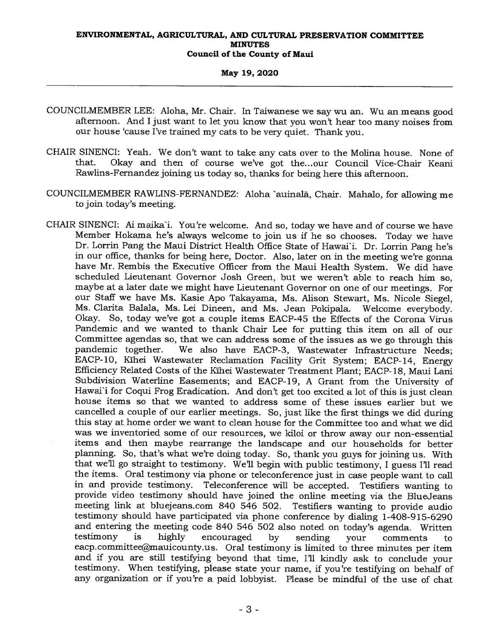## **May 19, 2020**

- COUNCILMEMBER LEE: Aloha, Mr. Chair. In Taiwanese we say wu an. Wu an means good afternoon. And I just want to let you know that you won't hear too many noises from our house 'cause I've trained my cats to be very quiet. Thank you.
- CHAIR SINENCI: Yeah. We don't want to take any cats over to the Molina house. None of that. Okay and then of course we've got the...our Council Vice-Chair Keani Rawlins-Fernandez joining us today so, thanks for being here this afternoon.
- COUNCILMEMBER RAWLINS-FERNANDEZ: Aloha -auinala, Chair. Mahalo, for allowing me to join today's meeting.
- CHAIR SINENCI: Ai maika'i. You're welcome. And so, today we have and of course we have Member Hokama he's always welcome to join us if he so chooses. Today we have Dr. Lorrin Pang the Maui District Health Office State of Hawai'i. Dr. Lorrin Pang he's in our office, thanks for being here, Doctor. Also, later on in the meeting we're gonna have Mr. Rembis the Executive Officer from the Maui Health System. We did have scheduled Lieutenant Governor Josh Green, but we weren't able to reach him so, maybe at a later date we might have Lieutenant Governor on one of our meetings. For our Staff we have Ms. Kasie Apo Takayama, Ms. Alison Stewart, Ms. Nicole Siegel, Ms. Clarita Balala, Ms. Lei Dineen, and Ms. Jean Pokipala. Welcome everybody. Okay. So, today we've got a couple items EACP-45 the Effects of the Corona Virus Pandemic and we wanted to thank Chair Lee for putting this item on all of our Committee agendas so, that we can address some of the issues as we go through this pandemic together. We also have EACP-3, Wastewater Infrastructure Needs: We also have EACP-3, Wastewater Infrastructure Needs; EACP-10, Kihei Wastewater Reclamation Facility Grit System; EACP-14, Energy Efficiency Related Costs of the Kihei Wastewater Treatment Plant; EACP-18, Maui Lani Subdivision Waterline Easements; and EACP-19, A Grant from the University of Hawai'i for Coqui Frog Eradication. And don't get too excited a lot of this is just clean house items so that we wanted to address some of these issues earlier but we cancelled a couple of our earlier meetings. So, just like the first things we did during this stay at home order we want to clean house for the Committee too and what we did was we inventoried some of our resources, we kiloi or throw away our non-essential items and then maybe rearrange the landscape and our households for better planning. So, that's what we're doing today. So, thank you guys for joining us. With that well go straight to testimony. Well begin with public testimony, I guess I'll read the items. Oral testimony via phone or teleconference just in case people want to call in and provide testimony. Teleconference will be accepted. Testifiers wanting to provide video testimony should have joined the online meeting via the BlueJeans meeting link at bluejeans.com 840 546 502. Testifiers wanting to provide audio testimony should have participated via phone conference by dialing 1-408-915-6290 and entering the meeting code 840 546 502 also noted on today's agenda. Written testimony is highly encouraged by sending your comments to testimony is highly encouraged by sending your comments to eacp.committee@mauicounty.us. Oral testimony is limited to three minutes per item and if you are still testifying beyond that time, Ill kindly ask to conclude your testimony. When testifying, please state your name, if you're testifying on behalf of any organization or if you're a paid lobbyist. Please be mindful of the use of chat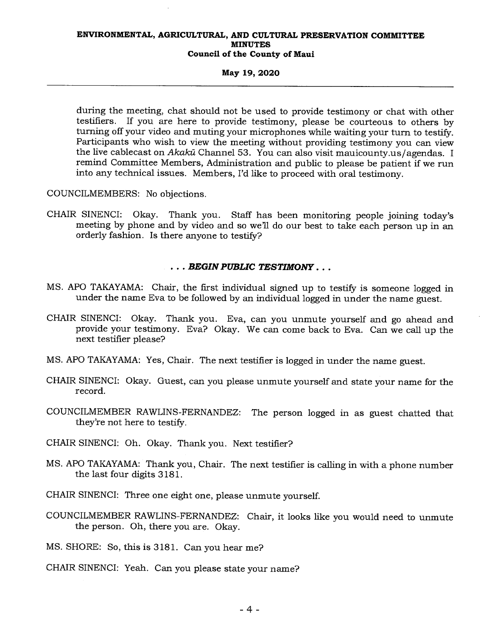## **May 19, 2020**

during the meeting, chat should not be used to provide testimony or chat with other testifiers. If you are here to provide testimony, please be courteous to others by If you are here to provide testimony, please be courteous to others by turning off your video and muting your microphones while waiting your turn to testify. Participants who wish to view the meeting without providing testimony you can view the live cablecast on Akakū Channel 53. You can also visit mauicounty.us/agendas. I remind Committee Members, Administration and public to please be patient if we run into any technical issues. Members, I'd like to proceed with oral testimony.

COUNCILMEMBERS: No objections.

CHAIR SINENCI: Okay. Thank you. Staff has been monitoring people joining today's meeting by phone and by video and so we'll do our best to take each person up in an orderly fashion. Is there anyone to testify?

## *. . . BEGIN PUBLIC TESTIMONY . . .*

- MS. APO TAKAYAMA: Chair, the first individual signed up to testify is someone logged in under the name Eva to be followed by an individual logged in under the name guest.
- CHAIR SINENCI: Okay. Thank you. Eva, can you unmute yourself and go ahead and provide your testimony. Eva? Okay. We can come back to Eva. Can we call up the next testifier please?
- MS. APO TAKAYAMA: Yes, Chair. The next testifier is logged in under the name guest.
- CHAIR SINENCI: Okay. Guest, can you please unmute yourself and state your name for the record.
- COUNCILMEMBER RAWLINS-FERNANDEZ: The person logged in as guest chatted that they're not here to testify.

CHAIR SINENCI: Oh. Okay. Thank you. Next testifier?

MS. APO TAKAYAMA: Thank you, Chair. The next testifier is calling in with a phone number the last four digits 3181.

CHAIR SINENCI: Three one eight one, please unmute yourself.

COUNCILMEMBER RAWLINS-FERNANDEZ: Chair, it looks like you would need to unmute the person. Oh, there you are. Okay.

MS. SHORE: So, this is 3181. Can you hear me?

CHAIR SINENCI: Yeah. Can you please state your name?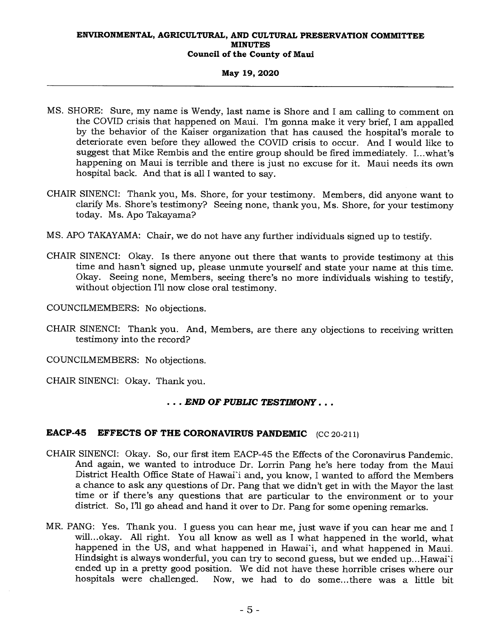### **May 19, 2020**

- MS. SHORE: Sure, my name is Wendy, last name is Shore and I am calling to comment on the COVID crisis that happened on Maui. I'm gonna make it very brief, I am appalled by the behavior of the Kaiser organization that has caused the hospital's morale to deteriorate even before they allowed the COVID crisis to occur. And I would like to suggest that Mike Rembis and the entire group should be fired immediately. I...what's happening on Maui is terrible and there is just no excuse for it. Maui needs its own hospital back. And that is all I wanted to say.
- CHAIR SINENCI: Thank you, Ms. Shore, for your testimony. Members, did anyone want to clarify Ms. Shore's testimony? Seeing none, thank you, Ms. Shore, for your testimony today. Ms. Apo Takayama?
- MS. APO TAKAYAMA: Chair, we do not have any further individuals signed up to testify.
- CHAIR SINENCI: Okay. Is there anyone out there that wants to provide testimony at this time and hasn't signed up, please unmute yourself and state your name at this time. Okay. Seeing none, Members, seeing there's no more individuals wishing to testify, without objection I'll now close oral testimony.

COUNCILMEMBERS: No objections.

- CHAIR SINENCI: Thank you. And, Members, are there any objections to receiving written testimony into the record?
- COUNCILMEMBERS: No objections.

CHAIR SINENCI: Okay. Thank you.

## . . . *END OF PUBLIC TESTIMONY . . .*

## **EACP-45 EFFECTS OF THE CORONAVIRUS PANDEMIC** (CC 20-211)

- CHAIR SINENCI: Okay. So, our first item EACP-45 the Effects of the Coronavirus Pandemic. And again, we wanted to introduce Dr. Lorrin Pang he's here today from the Maui District Health Office State of Hawai'i and, you know, I wanted to afford the Members a chance to ask any questions of Dr. Pang that we didn't get in with the Mayor the last time or if there's any questions that are particular to the environment or to your district. So, I'll go ahead and hand it over to Dr. Pang for some opening remarks.
- MR. PANG: Yes. Thank you. I guess you can hear me, just wave if you can hear me and I will... okay. All right. You all know as well as I what happened in the world, what happened in the US, and what happened in Hawai'i, and what happened in Maui. Hindsight is always wonderful, you can try to second guess, but we ended up...Hawai'i ended up in a pretty good position. We did not have these horrible crises where our hospitals were challenged. Now, we had to do some...there was a little bit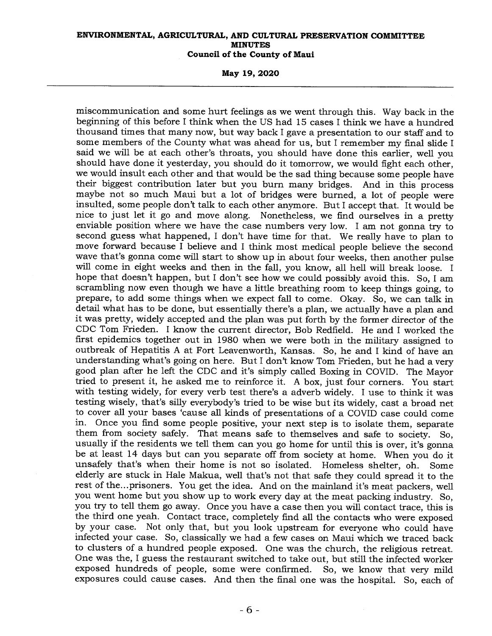**May 19, 2020** 

miscommunication and some hurt feelings as we went through this. Way back in the beginning of this before I think when the US had 15 cases I think we have a hundred thousand times that many now, but way back I gave a presentation to our staff and to some members of the County what was ahead for us, but I remember my final slide I said we will be at each other's throats, you should have done this earlier, well you should have done it yesterday, you should do it tomorrow, we would fight each other, we would insult each other and that would be the sad thing because some people have their biggest contribution later but you burn many bridges. And in this process maybe not so much Maui but a lot of bridges were burned, a lot of people were insulted, some people don't talk to each other anymore. But I accept that. It would be nice to just let it go and move along. Nonetheless, we find ourselves in a pretty enviable position where we have the case numbers very low. I am not gonna try to second guess what happened, I don't have time for that. We really have to plan to move forward because I believe and I think most medical people believe the second wave that's gonna come will start to show up in about four weeks, then another pulse will come in eight weeks and then in the fall, you know, all hell will break loose. I hope that doesn't happen, but I don't see how we could possibly avoid this. So, I am scrambling now even though we have a little breathing room to keep things going, to prepare, to add some things when we expect fall to come. Okay. So, we can talk in detail what has to be done, but essentially there's a plan, we actually have a plan and it was pretty, widely accepted and the plan was put forth by the former director of the CDC Tom Frieden. I know the current director, Bob Redfield. He and I worked the first epidemics together out in 1980 when we were both in the military assigned to outbreak of Hepatitis A at Fort Leavenworth, Kansas. So, he and I kind of have an understanding what's going on here. But I don't know Tom Frieden, but he had a very good plan after he left the CDC and it's simply called Boxing in COVID. The Mayor tried to present it, he asked me to reinforce it. A box, just four corners. You start with testing widely, for every verb test there's a adverb widely. I use to think it was testing wisely, that's silly everybody's tried to be wise but its widely, cast a broad net to cover all your bases 'cause all kinds of presentations of a COVID case could come in. Once you find some people positive, your next step is to isolate them, separate them from society safely. That means safe to themselves and safe to society. So, usually if the residents we tell them can you go home for until this is over, it's gonna be at least 14 days but can you separate off from society at home. When you do it unsafely that's when their home is not so isolated. Homeless shelter, oh. Some elderly are stuck in Hale Makua, well that's not that safe they could spread it to the rest of the...prisoners. You get the idea. And on the mainland it's meat packers, well you went home but you show up to work every day at the meat packing industry. So, you try to tell them go away. Once you have a case then you will contact trace, this is the third one yeah. Contact trace, completely find all the contacts who were exposed by your case. Not only that, but you look upstream for everyone who could have infected your case. So, classically we had a few cases on Maui which we traced back to clusters of a hundred people exposed. One was the church, the religious retreat. One was the, I guess the restaurant switched to take out, but still the infected worker exposed hundreds of people, some were confirmed. So, we know that very mild exposures could cause cases. And then the final one was the hospital. So, each of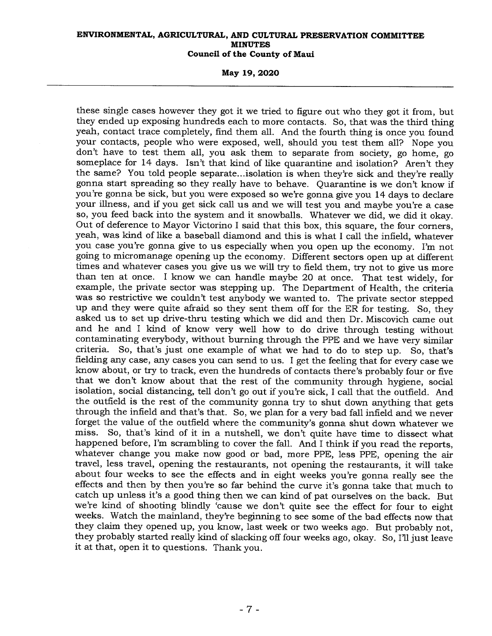**May 19, 2020** 

these single cases however they got it we tried to figure out who they got it from, but they ended up exposing hundreds each to more contacts. So, that was the third thing yeah, contact trace completely, find them all. And the fourth thing is once you found your contacts, people who were exposed, well, should you test them all? Nope you don't have to test them all, you ask them to separate from society, go home, go someplace for 14 days. Isn't that kind of like quarantine and isolation? Aren't they the same? You told people separate...isolation is when they're sick and they're really gonna start spreading so they really have to behave. Quarantine is we don't know if you're gonna be sick, but you were exposed so we're gonna give you 14 days to declare your illness, and if you get sick call us and we will test you and maybe you're a case so, you feed back into the system and it snowballs. Whatever we did, we did it okay. Out of deference to Mayor Victorino I said that this box, this square, the four corners, yeah, was kind of like a baseball diamond and this is what I call the infield, whatever you case you're gonna give to us especially when you open up the economy. I'm not going to micromanage opening up the economy. Different sectors open up at different times and whatever cases you give us we will try to field them, try not to give us more than ten at once. I know we can handle maybe 20 at once. That test widely, for example, the private sector was stepping up. The Department of Health, the criteria was so restrictive we couldn't test anybody we wanted to. The private sector stepped up and they were quite afraid so they sent them off for the ER for testing. So, they asked us to set up drive-thru testing which we did and then Dr. Miscovich came out and he and I kind of know very well how to do drive through testing without contaminating everybody, without burning through the PPE and we have very similar criteria. So, that's just one example of what we had to do to step up. So, that's fielding any case, any cases you can send to us. I get the feeling that for every case we know about, or try to track, even the hundreds of contacts there's probably four or five that we don't know about that the rest of the community through hygiene, social isolation, social distancing, tell don't go out if you're sick, I call that the outfield. And the outfield is the rest of the community gonna try to shut down anything that gets through the infield and that's that. So, we plan for a very bad fall infield and we never forget the value of the outfield where the community's gonna shut down whatever we miss. So, that's kind of it in a nutshell, we don't quite have time to dissect what So, that's kind of it in a nutshell, we don't quite have time to dissect what happened before, I'm scrambling to cover the fall. And I think if you read the reports, whatever change you make now good or bad, more PPE, less PPE, opening the air travel, less travel, opening the restaurants, not opening the restaurants, it will take about four weeks to see the effects and in eight weeks you're gonna really see the effects and then by then you're so far behind the curve it's gonna take that much to catch up unless it's a good thing then we can kind of pat ourselves on the back. But we're kind of shooting blindly 'cause we don't quite see the effect for four to eight weeks. Watch the mainland, they're beginning to see some of the bad effects now that they claim they opened up, you know, last week or two weeks ago. But probably not, they probably started really kind of slacking off four weeks ago, okay. So, I'll just leave it at that, open it to questions. Thank you.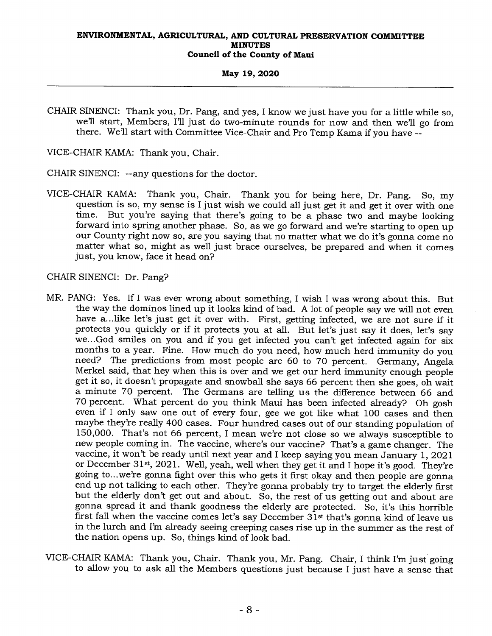#### **May 19, 2020**

CHAIR SINENCI: Thank you, Dr. Pang, and yes, I know we just have you for a little while so, we'll start, Members, I'll just do two-minute rounds for now and then well go from there. We'll start with Committee Vice-Chair and Pro Temp Kama if you have --

VICE-CHAIR KAMA: Thank you, Chair.

CHAIR SINENCI: --any questions for the doctor.

VICE-CHAIR KAMA: Thank you, Chair. Thank you for being here, Dr. Pang. So, my question is so, my sense is I just wish we could all just get it and get it over with one time. But you're saying that there's going to be a phase two and maybe looking forward into spring another phase. So, as we go forward and we're starting to open up our County right now so, are you saying that no matter what we do it's gonna come no matter what so, might as well just brace ourselves, be prepared and when it comes just, you know, face it head on?

CHAIR SINENCI: Dr. Pang?

- MR. PANG: Yes. If I was ever wrong about something, I wish I was wrong about this. But the way the dominos lined up it looks kind of bad. A lot of people say we will not even have a...like let's just get it over with. First, getting infected, we are not sure if it protects you quickly or if it protects you at all. But let's just say it does, let's say we...God smiles on you and if you get infected you can't get infected again for six months to a year. Fine. How much do you need, how much herd immunity do you need? The predictions from most people are 60 to 70 percent. Germany, Angela Merkel said, that hey when this is over and we get our herd immunity enough people get it so, it doesn't propagate and snowball she says 66 percent then she goes, oh wait a minute 70 percent. The Germans are telling us the difference between 66 and 70 percent. What percent do you think Maui has been infected already? Oh gosh even if I only saw one out of every four, gee we got like what 100 cases and then maybe they're really 400 cases. Four hundred cases out of our standing population of 150,000. That's not 66 percent, I mean we're not close so we always susceptible to new people coming in. The vaccine, where's our vaccine? That's a game changer. The vaccine, it won't be ready until next year and I keep saying you mean January 1, 2021 or December 31st, 2021. Well, yeah, well when they get it and I hope it's good. They're going to...we're gonna fight over this who gets it first okay and then people are gonna end up not talking to each other. They're gonna probably try to target the elderly first but the elderly don't get out and about. So, the rest of us getting out and about are gonna spread it and thank goodness the elderly are protected. So, it's this horrible first fall when the vaccine comes let's say December 31st that's gonna kind of leave us in the lurch and I'm already seeing creeping cases rise up in the summer as the rest of the nation opens up. So, things kind of look bad.
- VICE-CHAIR KAMA: Thank you, Chair. Thank you, Mr. Pang. Chair, I think I'm just going to allow you to ask all the Members questions just because I just have a sense that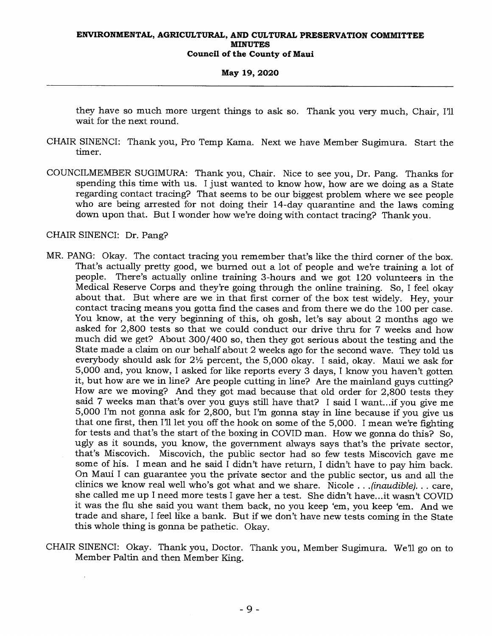### **May 19, 2020**

they have so much more urgent things to ask so. Thank you very much, Chair, I'll wait for the next round.

- CHAIR SINENCI: Thank you, Pro Temp Kama. Next we have Member Sugimura. Start the timer.
- COUNCILMEMBER SUGIMURA: Thank you, Chair. Nice to see you, Dr. Pang. Thanks for spending this time with us. I just wanted to know how, how are we doing as a State regarding contact tracing? That seems to be our biggest problem where we see people who are being arrested for not doing their 14-day quarantine and the laws coming down upon that. But I wonder how we're doing with contact tracing? Thank you.

## CHAIR SINENCI: Dr. Pang?

- MR. PANG: Okay. The contact tracing you remember that's like the third corner of the box. That's actually pretty good, we burned out a lot of people and we're training a lot of people. There's actually online training 3-hours and we got 120 volunteers in the Medical Reserve Corps and they're going through the online training. So, I feel okay about that. But where are we in that first corner of the box test widely. Hey, your contact tracing means you gotta fmd the cases and from there we do the 100 per case. You know, at the very beginning of this, oh gosh, let's say about 2 months ago we asked for 2,800 tests so that we could conduct our drive thru for 7 weeks and how much did we get? About 300/400 so, then they got serious about the testing and the State made a claim on our behalf about 2 weeks ago for the second wave. They told us everybody should ask for  $2\frac{1}{2}$  percent, the 5,000 okay. I said, okay. Maui we ask for 5,000 and, you know, I asked for like reports every 3 days, I know you haven't gotten it, but how are we in line? Are people cutting in line? Are the mainland guys cutting? How are we moving? And they got mad because that old order for 2,800 tests they said 7 weeks man that's over you guys still have that? I said I want...if you give me 5,000 I'm not gonna ask for 2,800, but I'm gonna stay in line because if you give us that one first, then I'll let you off the hook on some of the 5,000. I mean we're fighting for tests and that's the start of the boxing in COVID man. How we gonna do this? So, ugly as it sounds, you know, the government always says that's the private sector, that's Miscovich. Miscovich, the public sector had so few tests Miscovich gave me some of his. I mean and he said I didn't have return, I didn't have to pay him back. On Maui I can guarantee you the private sector and the public sector, us and all the clinics we know real well who's got what and we share. Nicole . . *.(inaudible). . .* care, she called me up I need more tests I gave her a test. She didn't have...it wasn't COVID it was the flu she said you want them back, no you keep 'em, you keep 'em. And we trade and share, I feel like a bank. But if we don't have new tests coming in the State this whole thing is gonna be pathetic. Okay.
- CHAIR SINENCI: Okay. Thank you, Doctor. Thank you, Member Sugimura. We'll go on to Member Paltin and then Member King.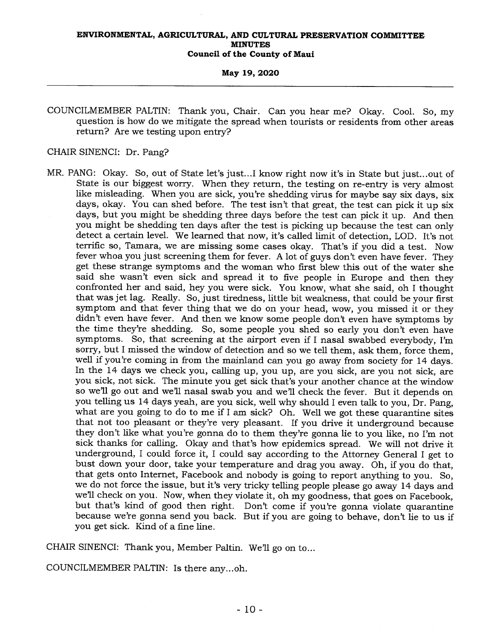#### **May 19, 2020**

COUNCILMEMBER PALTIN: Thank you, Chair. Can you hear me? Okay. Cool. So, my question is how do we mitigate the spread when tourists or residents from other areas return? Are we testing upon entry?

## CHAIR SINENCI: Dr. Pang?

MR. PANG: Okay. So, out of State let's just...I know right now it's in State but just...out of State is our biggest worry. When they return, the testing on re-entry is very almost like misleading. When you are sick, you're shedding virus for maybe say six days, six days, okay. You can shed before. The test isn't that great, the test can pick it up six days, but you might be shedding three days before the test can pick it up. And then you might be shedding ten days after the test is picking up because the test can only detect a certain level. We learned that now, it's called limit of detection, LOD. It's not terrific so, Tamara, we are missing some cases okay. That's if you did a test. Now fever whoa you just screening them for fever. A lot of guys don't even have fever. They get these strange symptoms and the woman who first blew this out of the water she said she wasn't even sick and spread it to five people in Europe and then they confronted her and said, hey you were sick. You know, what she said, oh I thought that was jet lag. Really. So, just tiredness, little bit weakness, that could be your first symptom and that fever thing that we do on your head, wow, you missed it or they didn't even have fever. And then we know some people don't even have symptoms by the time they're shedding. So, some people you shed so early you don't even have symptoms. So, that screening at the airport even if I nasal swabbed everybody, I'm sorry, but I missed the window of detection and so we tell them, ask them, force them, well if you're coming in from the mainland can you go away from society for 14 days. In the 14 days we check you, calling up, you up, are you sick, are you not sick, are you sick, not sick. The minute you get sick that's your another chance at the window so we'll go out and we'll nasal swab you and we'll check the fever. But it depends on you telling us 14 days yeah, are you sick, well why should I even talk to you, Dr. Pang, what are you going to do to me if I am sick? Oh. Well we got these quarantine sites that not too pleasant or they're very pleasant. If you drive it underground because they don't like what you're gonna do to them they're gonna lie to you like, no I'm not sick thanks for calling. Okay and that's how epidemics spread. We will not drive it underground, I could force it, I could say according to the Attorney General I get to bust down your door, take your temperature and drag you away. Oh, if you do that, that gets onto Internet, Facebook and nobody is going to report anything to you. So, we do not force the issue, but it's very tricky telling people please go away 14 days and we'll check on you. Now, when they violate it, oh my goodness, that goes on Facebook, but that's kind of good then right. Don't come if you're gonna violate quarantine because we're gonna send you back. But if you are going to behave, don't lie to us if you get sick. Kind of a fine line.

CHAIR SINENCI: Thank you, Member Paltin. We'll go on to...

COUNCILMEMBER PALTIN: Is there any...oh.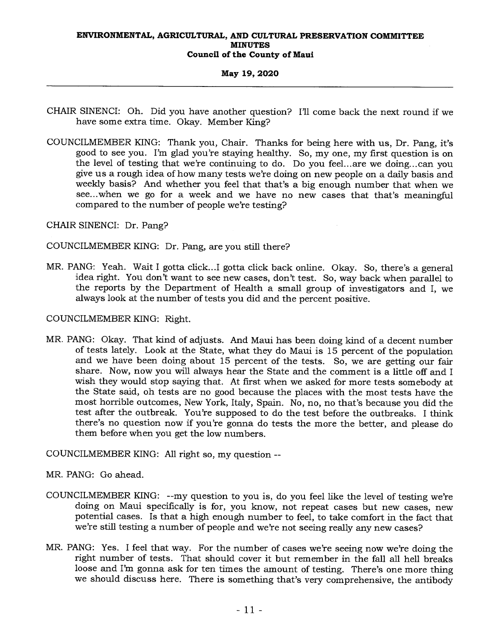## **May 19, 2020**

- CHAIR SINENCI: Oh. Did you have another question? I'll come back the next round if we have some extra time. Okay. Member King?
- COUNCILMEMBER KING: Thank you, Chair. Thanks for being here with us, Dr. Pang, it's good to see you. I'm glad you're staying healthy. So, my one, my first question is on the level of testing that we're continuing to do. Do you feel...are we doing...can you give us a rough idea of how many tests we're doing on new people on a daily basis and weekly basis? And whether you feel that that's a big enough number that when we see...when we go for a week and we have no new cases that that's meaningful compared to the number of people we're testing?

CHAIR SINENCI: Dr. Pang?

## COUNCILMEMBER KING: Dr. Pang, are you still there?

MR. PANG: Yeah. Wait I gotta click...I gotta click back online. Okay. So, there's a general idea right. You don't want to see new cases, don't test. So, way back when parallel to the reports by the Department of Health a small group of investigators and I, we always look at the number of tests you did and the percent positive.

COUNCILMEMBER KING: Right.

MR. PANG: Okay. That kind of adjusts. And Maui has been doing kind of a decent number of tests lately. Look at the State, what they do Maui is 15 percent of the population and we have been doing about 15 percent of the tests. So, we are getting our fair share. Now, now you will always hear the State and the comment is a little off and I wish they would stop saying that. At first when we asked for more tests somebody at the State said, oh tests are no good because the places with the most tests have the most horrible outcomes, New York, Italy, Spain. No, no, no that's because you did the test after the outbreak. You're supposed to do the test before the outbreaks. I think there's no question now if you're gonna do tests the more the better, and please do them before when you get the low numbers.

COUNCILMEMBER KING: All right so, my question --

MR. PANG: Go ahead.

- COUNCILMEMBER KING: --my question to you is, do you feel like the level of testing we're doing on Maui specifically is for, you know, not repeat cases but new cases, new potential cases. Is that a high enough number to feel, to take comfort in the fact that we're still testing a number of people and we're not seeing really any new cases?
- MR. PANG: Yes. I feel that way. For the number of cases we're seeing now we're doing the right number of tests. That should cover it but remember in the fall all hell breaks loose and I'm gonna ask for ten times the amount of testing. There's one more thing we should discuss here. There is something that's very comprehensive, the antibody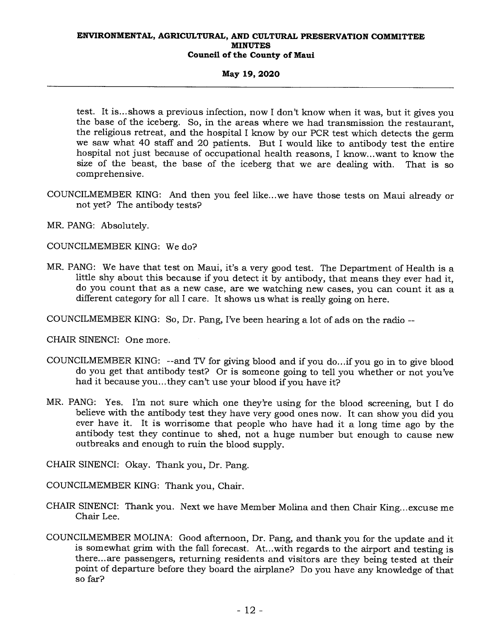## **May 19, 2020**

test. It is... shows a previous infection, now I don't know when it was, but it gives you the base of the iceberg. So, in the areas where we had transmission the restaurant, the religious retreat, and the hospital I know by our PCR test which detects the germ we saw what 40 staff and 20 patients. But I would like to antibody test the entire hospital not just because of occupational health reasons, I know...want to know the size of the beast, the base of the iceberg that we are dealing with. That is so comprehensive.

- COUNCILMEMBER KING: And then you feel like...we have those tests on Maui already or not yet? The antibody tests?
- MR. PANG: Absolutely.

COUNCILMEMBER KING: We do?

- MR. PANG: We have that test on Maui, it's a very good test. The Department of Health is a little shy about this because if you detect it by antibody, that means they ever had it, do you count that as a new case, are we watching new cases, you can count it as a different category for all I care. It shows us what is really going on here.
- COUNCILMEMBER KING: So, Dr. Pang, I've been hearing a lot of ads on the radio --

CHAIR SINENCI: One more.

- COUNCILMEMBER KING: --and TV for giving blood and if you do...if you go in to give blood do you get that antibody test? Or is someone going to tell you whether or not you've had it because you...they can't use your blood if you have it?
- MR. PANG: Yes. I'm not sure which one they're using for the blood screening, but I do believe with the antibody test they have very good ones now. It can show you did you ever have it. It is worrisome that people who have had it a long time ago by the antibody test they continue to shed, not a huge number but enough to cause new outbreaks and enough to ruin the blood supply.

CHAIR SINENCI: Okay. Thank you, Dr. Pang.

COUNCILMEMBER KING: Thank you, Chair.

- CHAIR SINENCI: Thank you. Next we have Member Molina and then Chair King...excuse me Chair Lee.
- COUNCILMEMBER MOLINA: Good afternoon, Dr. Pang, and thank you for the update and it is somewhat grim with the fall forecast. At...with regards to the airport and testing is there... are passengers, returning residents and visitors are they being tested at their point of departure before they board the airplane? Do you have any knowledge of that so far?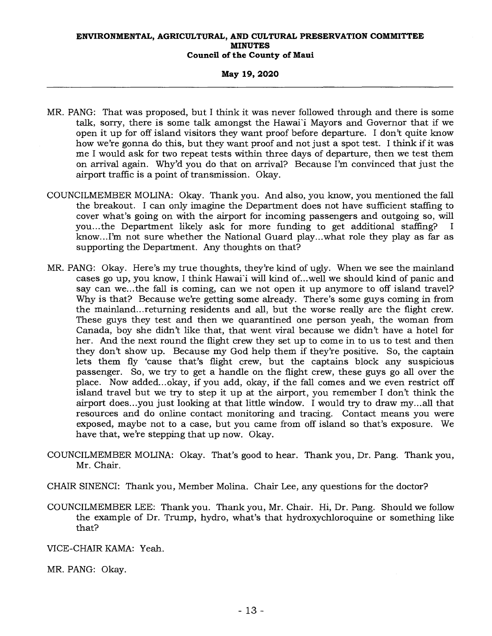## **May 19, 2020**

- MR. PANG: That was proposed, but I think it was never followed through and there is some talk, sorry, there is some talk amongst the Hawaii Mayors and Governor that if we open it up for off island visitors they want proof before departure. I don't quite know how we're gonna do this, but they want proof and not just a spot test. I think if it was me I would ask for two repeat tests within three days of departure, then we test them on arrival again. Why'd you do that on arrival? Because I'm convinced that just the airport traffic is a point of transmission. Okay.
- COUNCILMEMBER MOLINA: Okay. Thank you. And also, you know, you mentioned the fall the breakout. I can only imagine the Department does not have sufficient staffing to cover what's going on with the airport for incoming passengers and outgoing so, will you...the Department likely ask for more funding to get additional staffing? I know...I'm not sure whether the National Guard play...what role they play as far as supporting the Department. Any thoughts on that?
- MR. PANG: Okay. Here's my true thoughts, they're kind of ugly. When we see the mainland cases go up, you know, I think Hawai'i will kind of...well we should kind of panic and say can we... the fall is coming, can we not open it up anymore to off island travel? Why is that? Because we're getting some already. There's some guys coming in from the mainland...returning residents and all, but the worse really are the flight crew. These guys they test and then we quarantined one person yeah, the woman from Canada, boy she didn't like that, that went viral because we didn't have a hotel for her. And the next round the flight crew they set up to come in to us to test and then they don't show up. Because my God help them if they're positive. So, the captain lets them fly 'cause that's flight crew, but the captains block any suspicious passenger. So, we try to get a handle on the flight crew, these guys go all over the place. Now added...okay, if you add, okay, if the fall comes and we even restrict off island travel but we try to step it up at the airport, you remember I don't think the airport does...you just looking at that little window. I would try to draw my...all that resources and do online contact monitoring and tracing. Contact means you were exposed, maybe not to a case, but you came from off island so that's exposure. We have that, we're stepping that up now. Okay.
- COUNCILMEMBER MOLINA: Okay. That's good to hear. Thank you, Dr. Pang. Thank you, Mr. Chair.
- CHAIR SINENCI: Thank you, Member Molina. Chair Lee, any questions for the doctor?
- COUNCILMEMBER LEE: Thank you. Thank you, Mr. Chair. Hi, Dr. Pang. Should we follow the example of Dr. Trump, hydro, what's that hydroxychloroquine or something like that?
- VICE-CHAIR KAMA: Yeah.
- MR. PANG: Okay.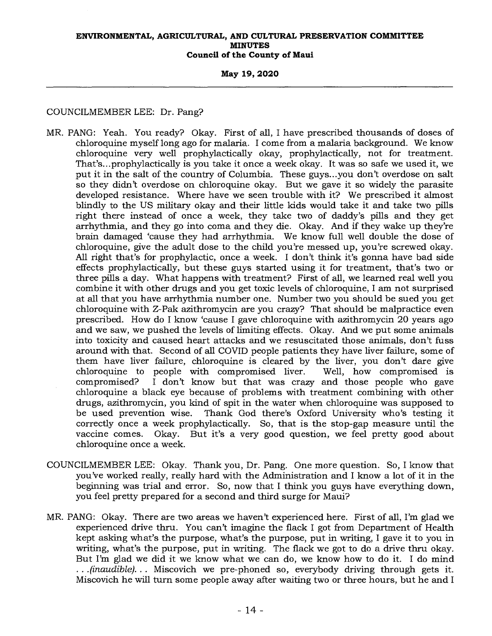**May 19, 2020** 

## COUNCILMEMBER LEE: Dr. Pang?

- MR. PANG: Yeah. You ready? Okay. First of all, I have prescribed thousands of doses of chloroquine myself long ago for malaria. I come from a malaria background. We know chloroquine very well prophylactically okay, prophylactically, not for treatment. That's...prophylactically is you take it once a week okay. It was so safe we used it, we put it in the salt of the country of Columbia. These guys...you don't overdose on salt so they didn't overdose on chloroquine okay. But we gave it so widely the parasite developed resistance. Where have we seen trouble with it? We prescribed it almost blindly to the US military okay and their little kids would take it and take two pills right there instead of once a week, they take two of daddy's pills and they get arrhythmia, and they go into coma and they die. Okay. And if they wake up they're brain damaged 'cause they had arrhythmia. We know full well double the dose of chloroquine, give the adult dose to the child you're messed up, you're screwed okay. All right that's for prophylactic, once a week. I don't think it's gonna have bad side effects prophylactically, but these guys started using it for treatment, that's two or three pills a day. What happens with treatment? First of all, we learned real well you combine it with other drugs and you get toxic levels of chloroquine, I am not surprised at all that you have arrhythmia number one. Number two you should be sued you get chloroquine with Z-Pak azithromycin are you crazy? That should be malpractice even prescribed. How do I know 'cause I gave chloroquine with azithromycin 20 years ago and we saw, we pushed the levels of limiting effects. Okay. And we put some animals into toxicity and caused heart attacks and we resuscitated those animals, don't fuss around with that. Second of all COVID people patients they have liver failure, some of them have liver failure, chloroquine is cleared by the liver, you don't dare give chloroquine to people with compromised liver. Well, how compromised is chloroquine to people with compromised liver. compromised? I don't know but that was crazy and those people who gave chloroquine a black eye because of problems with treatment combining with other drugs, azithromycin, you kind of spit in the water when chloroquine was supposed to<br>be used prevention wise. Thank God there's Oxford University who's testing it Thank God there's Oxford University who's testing it correctly once a week prophylactically. So, that is the stop-gap measure until the vaccine comes. Okay. But it's a very good question, we feel pretty good about chloroquine once a week.
- COUNCILMEMBER LEE: Okay. Thank you, Dr. Pang. One more question. So, I know that you've worked really, really hard with the Administration and I know a lot of it in the beginning was trial and error. So, now that I think you guys have everything down, you feel pretty prepared for a second and third surge for Maui?
- MR. PANG: Okay. There are two areas we haven't experienced here. First of all, I'm glad we experienced drive thru. You can't imagine the flack I got from Department of Health kept asking what's the purpose, what's the purpose, put in writing, I gave it to you in writing, what's the purpose, put in writing. The flack we got to do a drive thru okay. But I'm glad we did it we know what we can do, we know how to do it. I do mind *. . .(inaudible). . .* Miscovich we pre-phoned so, everybody driving through gets it. Miscovich he will turn some people away after waiting two or three hours, but he and I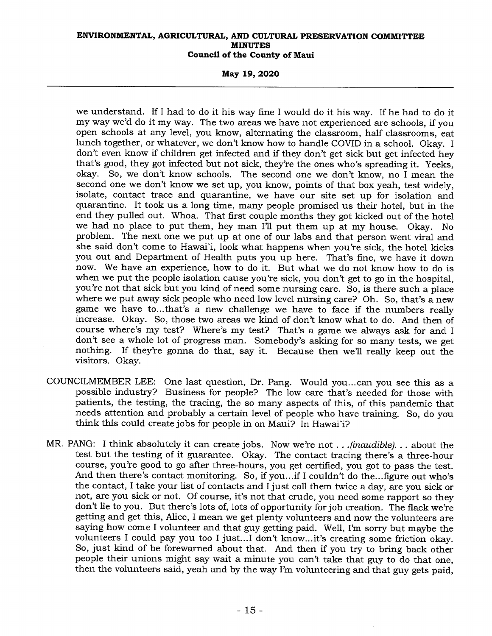**May 19, 2020** 

we understand. If I had to do it his way fine I would do it his way. If he had to do it my way we'd do it my way. The two areas we have not experienced are schools, if you open schools at any level, you know, alternating the classroom, half classrooms, eat lunch together, or whatever, we don't know how to handle COVID in a school. Okay. I don't even know if children get infected and if they don't get sick but get infected hey that's good, they got infected but not sick, they're the ones who's spreading it. Yeeks, okay. So, we don't know schools. The second one we don't know, no I mean the second one we don't know we set up, you know, points of that box yeah, test widely, isolate, contact trace and quarantine, we have our site set up for isolation and quarantine. It took us a long time, many people promised us their hotel, but in the end they pulled out. Whoa. That first couple months they got kicked out of the hotel we had no place to put them, hey man I'll put them up at my house. Okay. No problem. The next one we put up at one of our labs and that person went viral and she said don't come to Hawai'i, look what happens when you're sick, the hotel kicks you out and Department of Health puts you up here. That's fine, we have it down now. We have an experience, how to do it. But what we do not know how to do is when we put the people isolation cause you're sick, you don't get to go in the hospital, you're not that sick but you kind of need some nursing care. So, is there such a place where we put away sick people who need low level nursing care? Oh. So, that's a new game we have to...that's a new challenge we have to face if the numbers really increase. Okay. So, those two areas we kind of don't know what to do. And then of course where's my test? Where's my test? That's a game we always ask for and I don't see a whole lot of progress man. Somebody's asking for so many tests, we get nothing. If they're gonna do that, say it. Because then we'll really keep out the visitors. Okay.

- COUNCILMEMBER LEE: One last question, Dr. Pang. Would you... can you see this as a possible industry? Business for people? The low care that's needed for those with patients, the testing, the tracing, the so many aspects of this, of this pandemic that needs attention and probably a certain level of people who have training. So, do you think this could create jobs for people in on Maui? In Hawai'i?
- MR. PANG: I think absolutely it can create jobs. Now we're not . . *.(inaudible). . .* about the test but the testing of it guarantee. Okay. The contact tracing there's a three-hour course, you're good to go after three-hours, you get certified, you got to pass the test. And then there's contact monitoring. So, if you...if I couldn't do the...figure out who's the contact, I take your list of contacts and I just call them twice a day, are you sick or not, are you sick or not. Of course, it's not that crude, you need some rapport so they don't lie to you. But there's lots of, lots of opportunity for job creation. The flack we're getting and get this, Alice, I mean we get plenty volunteers and now the volunteers are saying how come I volunteer and that guy getting paid. Well, I'm sorry but maybe the volunteers I could pay you too I just...I don't know...it's creating some friction okay. So, just kind of be forewarned about that. And then if you try to bring back other people their unions might say wait a minute you can't take that guy to do that one, then the volunteers said, yeah and by the way I'm volunteering and that guy gets paid,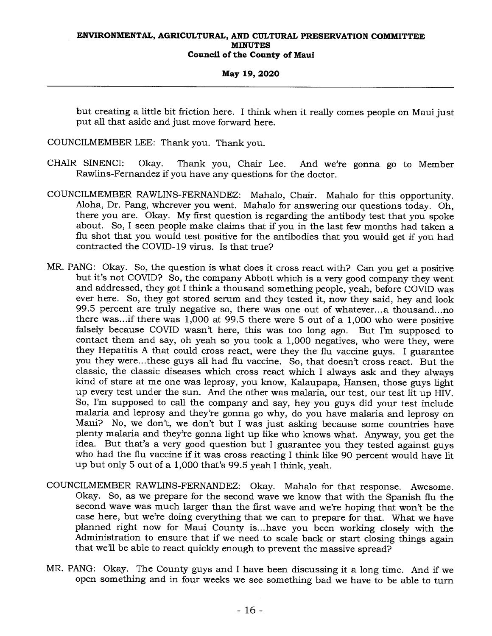## **May 19, 2020**

but creating a little bit friction here. I think when it really comes people on Maui just put all that aside and just move forward here.

COUNCILMEMBER LEE: Thank you. Thank you.

- CHAIR SINENCI: Okay. Thank you, Chair Lee. And we're gonna go to Member Rawlins-Fernandez if you have any questions for the doctor.
- COUNCILMEMBER RAWLINS-FERNANDEZ: Mahalo, Chair. Mahalo for this opportunity. Aloha, Dr. Pang, wherever you went. Mahalo for answering our questions today. Oh, there you are. Okay. My first question is regarding the antibody test that you spoke about. So, I seen people make claims that if you in the last few months had taken a flu shot that you would test positive for the antibodies that you would get if you had contracted the COVID-19 virus. Is that true?
- MR. PANG: Okay. So, the question is what does it cross react with? Can you get a positive but it's not COVID? So, the company Abbott which is a very good company they went and addressed, they got I think a thousand something people, yeah, before COVID was ever here. So, they got stored serum and they tested it, now they said, hey and look 99.5 percent are truly negative so, there was one out of whatever...a thousand...no there was...if there was 1,000 at 99.5 there were 5 out of a 1,000 who were positive falsely because COVID wasn't here, this was too long ago. But I'm supposed to contact them and say, oh yeah so you took a 1,000 negatives, who were they, were they Hepatitis A that could cross react, were they the flu vaccine guys. I guarantee you they were...these guys all had flu vaccine. So, that doesn't cross react. But the classic, the classic diseases which cross react which I always ask and they always kind of stare at me one was leprosy, you know, Kalaupapa, Hansen, those guys light up every test under the sun. And the other was malaria, our test, our test lit up HIV. So, I'm supposed to call the company and say, hey you guys did your test include malaria and leprosy and they're gonna go why, do you have malaria and leprosy on Maui? No, we don't, we don't but I was just asking because some countries have plenty malaria and they're gonna light up like who knows what. Anyway, you get the idea. But that's a very good question but I guarantee you they tested against guys who had the flu vaccine if it was cross reacting I think like 90 percent would have lit up but only 5 out of a 1,000 that's 99.5 yeah I think, yeah.
- COUNCILMEMBER RAWLINS-FERNANDEZ: Okay. Mahalo for that response. Awesome. Okay. So, as we prepare for the second wave we know that with the Spanish flu the second wave was much larger than the first wave and we're hoping that won't be the case here, but we're doing everything that we can to prepare for that. What we have planned right now for Maui County is...have you been working closely with the Administration to ensure that if we need to scale back or start closing things again that we'll be able to react quickly enough to prevent the massive spread?
- MR. PANG: Okay. The County guys and I have been discussing it a long time. And if we open something and in four weeks we see something bad we have to be able to turn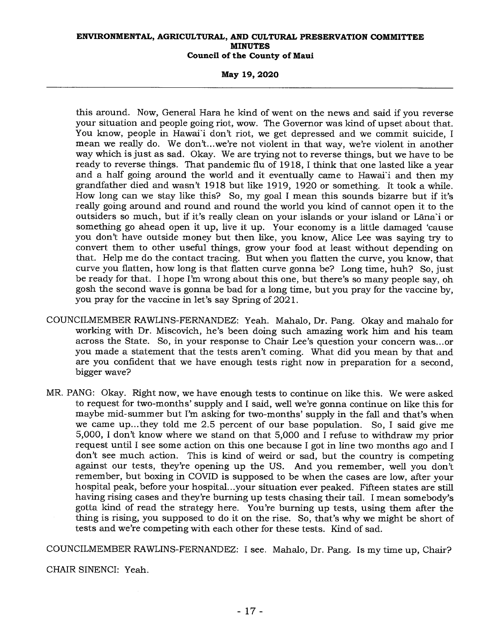**May 19, 2020** 

this around. Now, General Hara he kind of went on the news and said if you reverse your situation and people going riot, wow. The Governor was kind of upset about that. You know, people in Hawai'i don't riot, we get depressed and we commit suicide, I mean we really do. We don't...we're not violent in that way, we're violent in another way which is just as sad. Okay. We are trying not to reverse things, but we have to be ready to reverse things. That pandemic flu of 1918, I think that one lasted like a year and a half going around the world and it eventually came to Hawai'i and then my grandfather died and wasn't 1918 but like 1919, 1920 or something. It took a while. How long can we stay like this? So, my goal I mean this sounds bizarre but if it's really going around and round and round the world you kind of cannot open it to the outsiders so much, but if it's really clean on your islands or your island or Lāna'i or something go ahead open it up, live it up. Your economy is a little damaged 'cause you don't have outside money but then like, you know, Alice Lee was saying try to convert them to other useful things, grow your food at least without depending on that. Help me do the contact tracing. But when you flatten the curve, you know, that curve you flatten, how long is that flatten curve gonna be? Long time, huh? So, just be ready for that. I hope I'm wrong about this one, but there's so many people say, oh gosh the second wave is gonna be bad for a long time, but you pray for the vaccine by, you pray for the vaccine in let's say Spring of 2021.

- COUNCILMEMBER RAWLINS-FERNANDEZ: Yeah. Mahalo, Dr. Pang. Okay and mahalo for working with Dr. Miscovich, he's been doing such amazing work him and his team across the State. So, in your response to Chair Lee's question your concern was...or you made a statement that the tests aren't coming. What did you mean by that and are you confident that we have enough tests right now in preparation for a second, bigger wave?
- MR. PANG: Okay. Right now, we have enough tests to continue on like this. We were asked to request for two-months' supply and I said, well we're gonna continue on like this for maybe mid-summer but I'm asking for two-months' supply in the fall and that's when we came up...they told me 2.5 percent of our base population. So, I said give me 5,000, I don't know where we stand on that 5,000 and I refuse to withdraw my prior request until I see some action on this one because I got in line two months ago and I don't see much action. This is kind of weird or sad, but the country is competing against our tests, they're opening up the US. And you remember, well you don't remember, but boxing in COVID is supposed to be when the cases are low, after your hospital peak, before your hospital...your situation ever peaked. Fifteen states are still having rising cases and they're burning up tests chasing their tail. I mean somebody's gotta kind of read the strategy here. You're burning up tests, using them after the thing is rising, you supposed to do it on the rise. So, that's why we might be short of tests and we're competing with each other for these tests. Kind of sad.

COUNCILMEMBER RAWLINS-FERNANDEZ: I see. Mahalo, Dr. Pang. Is my time up, Chair?

CHAIR SINENCI: Yeah.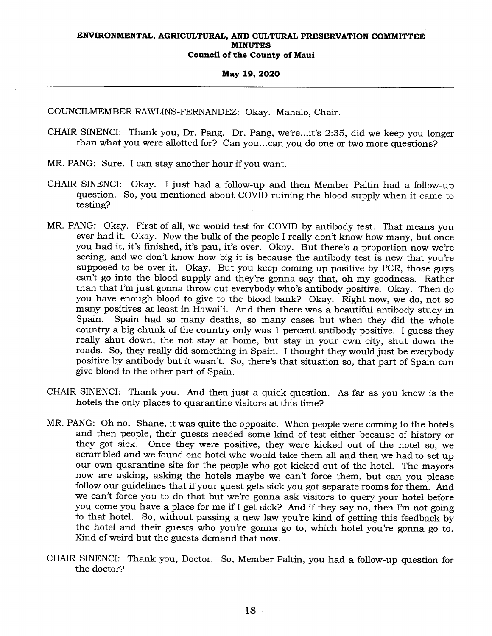#### **May 19, 2020**

COUNCILMEMBER RAWLINS-FERNANDEZ: Okay. Mahalo, Chair.

- CHAIR SINENCI: Thank you, Dr. Pang. Dr. Pang, we're...it's 2:35, did we keep you longer than what you were allotted for? Can you...can you do one or two more questions?
- MR. PANG: Sure. I can stay another hour if you want.
- CHAIR SINENCI: Okay. I just had a follow-up and then Member Paltin had a follow-up question. So, you mentioned about COVID ruining the blood supply when it came to testing?
- MR. PANG: Okay. First of all, we would test for COVID by antibody test. That means you ever had it. Okay. Now the bulk of the people I really don't know how many, but once you had it, it's finished, it's pau, it's over. Okay. But there's a proportion now we're seeing, and we don't know how big it is because the antibody test is new that you're supposed to be over it. Okay. But you keep coming up positive by PCR, those guys can't go into the blood supply and they're gonna say that, oh my goodness. Rather than that I'm just gonna throw out everybody who's antibody positive. Okay. Then do you have enough blood to give to the blood bank? Okay. Right now, we do, not so many positives at least in Hawai'i. And then there was a beautiful antibody study in Spain. Spain had so many deaths, so many cases but when they did the whole country a big chunk of the country only was 1 percent antibody positive. I guess they really shut down, the not stay at home, but stay in your own city, shut down the roads. So, they really did something in Spain. I thought they would just be everybody positive by antibody but it wasn't. So, there's that situation so, that part of Spain can give blood to the other part of Spain.
- CHAIR SINENCI: Thank you. And then just a quick question. As far as you know is the hotels the only places to quarantine visitors at this time?
- MR. PANG: Oh no. Shane, it was quite the opposite. When people were coming to the hotels and then people, their guests needed some kind of test either because of history or they got sick. Once they were positive, they were kicked out of the hotel so, we scrambled and we found one hotel who would take them all and then we had to set up our own quarantine site for the people who got kicked out of the hotel. The mayors now are asking, asking the hotels maybe we can't force them, but can you please follow our guidelines that if your guest gets sick you got separate rooms for them. And we can't force you to do that but we're gonna ask visitors to query your hotel before you come you have a place for me if I get sick? And if they say no, then I'm not going to that hotel. So, without passing a new law you're kind of getting this feedback by the hotel and their guests who you're gonna go to, which hotel you're gonna go to. Kind of weird but the guests demand that now.
- CHAIR SINENCI: Thank you, Doctor. So, Member Paltin, you had a follow-up question for the doctor?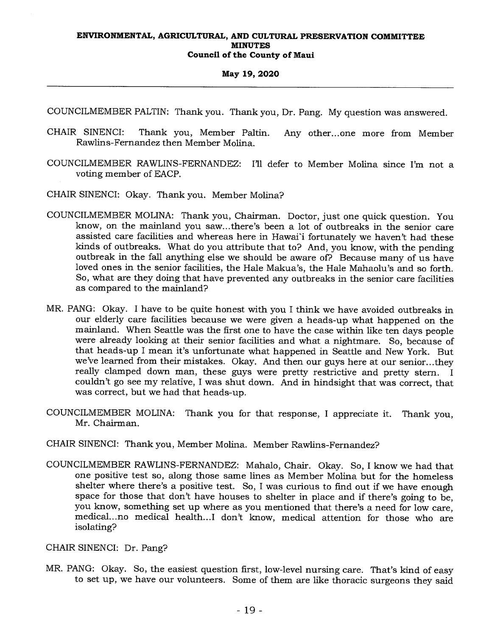## **May 19, 2020**

COUNCILMEMBER PALTIN: Thank you. Thank you, Dr. Pang. My question was answered.

- CHAIR SINENCI: Thank you, Member Paltin. Any other...one more from Member Rawlins-Fernandez then Member Molina.
- COUNCILMEMBER RAWLINS-FERNANDEZ: I'll defer to Member Molina since I'm not a voting member of EACP.

CHAIR SINENCI: Okay. Thank you. Member Molina?

- COUNCILMEMBER MOLINA: Thank you, Chairman. Doctor, just one quick question. You know, on the mainland you saw...there's been a lot of outbreaks in the senior care assisted care facilities and whereas here in Hawai'i fortunately we haven't had these kinds of outbreaks. What do you attribute that to? And, you know, with the pending outbreak in the fall anything else we should be aware of? Because many of us have loved ones in the senior facilities, the Hale Makua's, the Hale Mahaolu's and so forth. So, what are they doing that have prevented any outbreaks in the senior care facilities as compared to the mainland?
- MR. PANG: Okay. I have to be quite honest with you I think we have avoided outbreaks in our elderly care facilities because we were given a heads-up what happened on the mainland. When Seattle was the first one to have the case within like ten days people were already looking at their senior facilities and what a nightmare. So, because of that heads-up I mean it's unfortunate what happened in Seattle and New York. But we've learned from their mistakes. Okay. And then our guys here at our senior...they really clamped down man, these guys were pretty restrictive and pretty stern. I couldn't go see my relative, I was shut down. And in hindsight that was correct, that was correct, but we had that heads-up.
- COUNCILMEMBER MOLINA: Thank you for that response, I appreciate it. Thank you, Mr. Chairman.
- CHAIR SINENCI: Thank you, Member Molina. Member Rawlins-Fernandez?
- COUNCILMEMBER RAWLINS-FERNANDEZ: Mahalo, Chair. Okay. So, I know we had that one positive test so, along those same lines as Member Molina but for the homeless shelter where there's a positive test. So, I was curious to find out if we have enough space for those that don't have houses to shelter in place and if there's going to be, you know, something set up where as you mentioned that there's a need for low care, medical...no medical health...I don't know, medical attention for those who are isolating?

CHAIR SINENCI: Dr. Pang?

MR. PANG: Okay. So, the easiest question first, low-level nursing care. That's kind of easy to set up, we have our volunteers. Some of them are like thoracic surgeons they said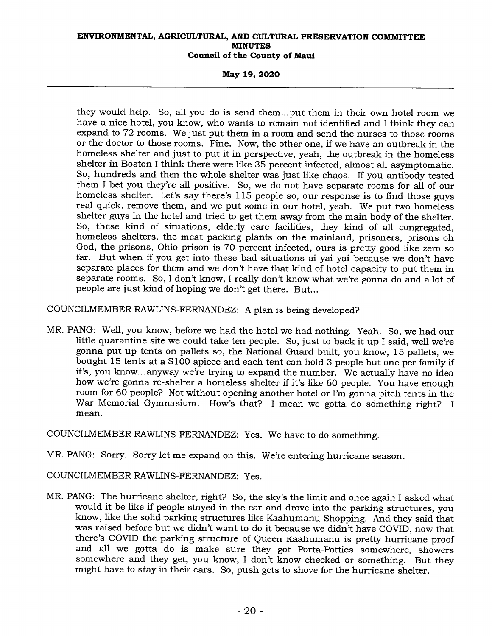## **May 19, 2020**

they would help. So, all you do is send them...put them in their own hotel room we have a nice hotel, you know, who wants to remain not identified and I think they can expand to 72 rooms. We just put them in a room and send the nurses to those rooms or the doctor to those rooms. Fine. Now, the other one, if we have an outbreak in the homeless shelter and just to put it in perspective, yeah, the outbreak in the homeless shelter in Boston I think there were like 35 percent infected, almost all asymptomatic. So, hundreds and then the whole shelter was just like chaos. If you antibody tested them I bet you they're all positive. So, we do not have separate rooms for all of our homeless shelter. Let's say there's 115 people so, our response is to find those guys real quick, remove them, and we put some in our hotel, yeah. We put two homeless shelter guys in the hotel and tried to get them away from the main body of the shelter. So, these kind of situations, elderly care facilities, they kind of all congregated, homeless shelters, the meat packing plants on the mainland, prisoners, prisons oh God, the prisons, Ohio prison is 70 percent infected, ours is pretty good like zero so far. But when if you get into these bad situations ai yai yai because we don't have separate places for them and we don't have that kind of hotel capacity to put them in separate rooms. So, I don't know, I really don't know what we're gonna do and a lot of people are just kind of hoping we don't get there. But...

COUNCILMEMBER RAWLINS-FERNANDEZ: A plan is being developed?

MR. PANG: Well, you know, before we had the hotel we had nothing. Yeah. So, we had our little quarantine site we could take ten people. So, just to back it up I said, well we're gonna put up tents on pallets so, the National Guard built, you know, 15 pallets, we bought 15 tents at a \$100 apiece and each tent can hold 3 people but one per family if it's, you know...anyway we're trying to expand the number. We actually have no idea how we're gonna re-shelter a homeless shelter if it's like 60 people. You have enough room for 60 people? Not without opening another hotel or I'm gonna pitch tents in the War Memorial Gymnasium. How's that? I mean we gotta do something right? I mean.

COUNCILMEMBER RAWLINS-FERNANDEZ: Yes. We have to do something.

MR. PANG: Sorry. Sorry let me expand on this. We're entering hurricane season.

COUNCILMEMBER RAWLINS-FERNANDEZ: Yes.

MR. PANG: The hurricane shelter, right? So, the sky's the limit and once again I asked what would it be like if people stayed in the car and drove into the parking structures, you know, like the solid parking structures like Kaahumanu Shopping. And they said that was raised before but we didn't want to do it because we didn't have COVID, now that there's COVID the parking structure of Queen Kaahumanu is pretty hurricane proof and all we gotta do is make sure they got Porta-Potties somewhere, showers somewhere and they get, you know, I don't know checked or something. But they might have to stay in their cars. So, push gets to shove for the hurricane shelter.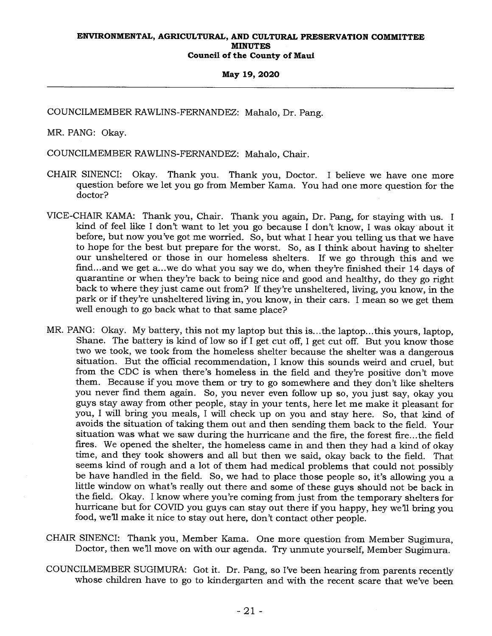### **May 19, 2020**

COUNCILMEMBER RAWLINS-FERNANDEZ: Mahalo, Dr. Pang.

MR. PANG: Okay.

COUNCILMEMBER RAWLINS-FERNANDEZ: Mahalo, Chair.

- CHAIR SINENCI: Okay. Thank you. Thank you, Doctor. I believe we have one more question before we let you go from Member Kama. You had one more question for the doctor?
- VICE-CHAIR KAMA: Thank you, Chair. Thank you again, Dr. Pang, for staying with us. I kind of feel like I don't want to let you go because I don't know, I was okay about it before, but now you've got me worried. So, but what I hear you telling us that we have to hope for the best but prepare for the worst. So, as I think about having to shelter our unsheltered or those in our homeless shelters. If we go through this and we find... and we get a...we do what you say we do, when they're finished their 14 days of quarantine or when they're back to being nice and good and healthy, do they go right back to where they just came out from? If they're unsheltered, living, you know, in the park or if they're unsheltered living in, you know, in their cars. I mean so we get them well enough to go back what to that same place?
- MR. PANG: Okay. My battery, this not my laptop but this is...the laptop...this yours, laptop, Shane. The battery is kind of low so if I get cut off, I get cut off. But you know those two we took, we took from the homeless shelter because the shelter was a dangerous situation. But the official recommendation, I know this sounds weird and cruel, but from the CDC is when there's homeless in the field and they're positive don't move them. Because if you move them or try to go somewhere and they don't like shelters you never find them again. So, you never even follow up so, you just say, okay you guys stay away from other people, stay in your tents, here let me make it pleasant for you, I will bring you meals, I will check up on you and stay here. So, that kind of avoids the situation of taking them out and then sending them back to the field. Your situation was what we saw during the hurricane and the fire, the forest fire...the field fires. We opened the shelter, the homeless came in and then they had a kind of okay time, and they took showers and all but then we said, okay back to the field. That seems kind of rough and a lot of them had medical problems that could not possibly be have handled in the field. So, we had to place those people so, it's allowing you a little window on what's really out there and some of these guys should not be back in the field. Okay. I know where you're coming from just from the temporary shelters for hurricane but for COVID you guys can stay out there if you happy, hey we'll bring you food, we'll make it nice to stay out here, don't contact other people.
- CHAIR SINENCI: Thank you, Member Kama. One more question from Member Sugimura, Doctor, then we'll move on with our agenda. Try unmute yourself, Member Sugimura.
- COUNCILMEMBER SUGIMURA: Got it. Dr. Pang, so I've been hearing from parents recently whose children have to go to kindergarten and with the recent scare that we've been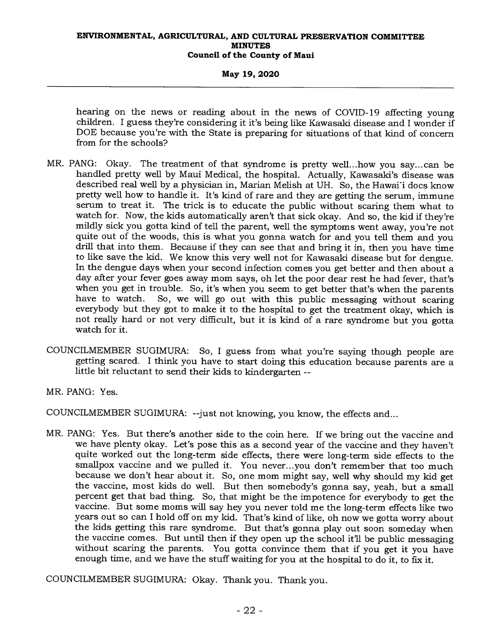**May 19, 2020** 

hearing on the news or reading about in the news of COVID-19 affecting young children. I guess they're considering it it's being like Kawasaki disease and I wonder if DOE because you're with the State is preparing for situations of that kind of concern from for the schools?

- MR. PANG: Okay. The treatment of that syndrome is pretty well...how you say...can be handled pretty well by Maui Medical, the hospital. Actually, Kawasaki's disease was described real well by a physician in, Marian Melish at UH. So, the Hawai'i docs know pretty well how to handle it. It's kind of rare and they are getting the serum, immune serum to treat it. The trick is to educate the public without scaring them what to watch for. Now, the kids automatically aren't that sick okay. And so, the kid if they're mildly sick you gotta kind of tell the parent, well the symptoms went away, you're not quite out of the woods, this is what you gonna watch for and you tell them and you drill that into them. Because if they can see that and bring it in, then you have time to like save the kid. We know this very well not for Kawasaki disease but for dengue. In the dengue days when your second infection comes you get better and then about a day after your fever goes away mom says, oh let the poor dear rest he had fever, that's when you get in trouble. So, it's when you seem to get better that's when the parents<br>have to watch. So, we will go out with this public messaging without scaring So, we will go out with this public messaging without scaring everybody but they got to make it to the hospital to get the treatment okay, which is not really hard or not very difficult, but it is kind of a rare syndrome but you gotta watch for it.
- COUNCILMEMBER SUGIMURA: So, I guess from what you're saying though people are getting scared. I think you have to start doing this education because parents are a little bit reluctant to send their kids to kindergarten --

MR. PANG: Yes.

COUNCILMEMBER SUGIMURA: --just not knowing, you know, the effects and...

MR. PANG: Yes. But there's another side to the coin here. If we bring out the vaccine and we have plenty okay. Let's pose this as a second year of the vaccine and they haven't quite worked out the long-term side effects, there were long-term side effects to the smallpox vaccine and we pulled it. You never...you don't remember that too much because we don't hear about it. So, one mom might say, well why should my kid get the vaccine, most kids do well. But then somebody's gonna say, yeah, but a small percent get that bad thing. So, that might be the impotence for everybody to get the vaccine. But some moms will say hey you never told me the long-term effects like two years out so can I hold off on my kid. That's kind of like, oh now we gotta worry about the kids getting this rare syndrome. But that's gonna play out soon someday when the vaccine comes. But until then if they open up the school it'll be public messaging without scaring the parents. You gotta convince them that if you get it you have enough time, and we have the stuff waiting for you at the hospital to do it, to fix it.

COUNCILMEMBER SUGIMURA: Okay. Thank you. Thank you.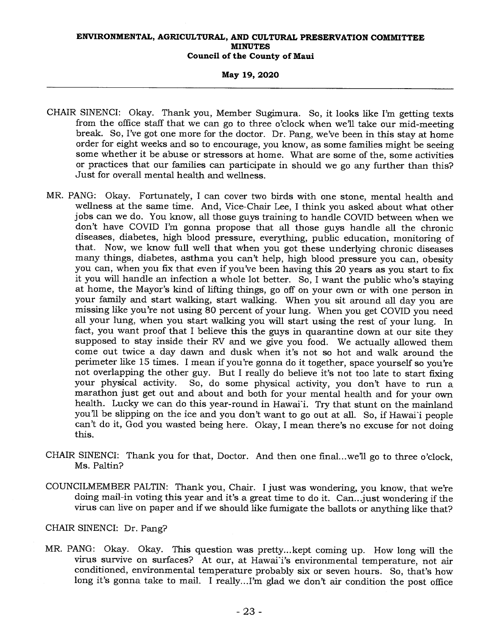## **May 19, 2020**

- CHAIR SINENCI: Okay. Thank you, Member Sugimura. So, it looks like I'm getting texts from the office staff that we can go to three o'clock when well take our mid-meeting break. So, I've got one more for the doctor. Dr. Pang, we've been in this stay at home order for eight weeks and so to encourage, you know, as some families might be seeing some whether it be abuse or stressors at home. What are some of the, some activities or practices that our families can participate in should we go any further than this? Just for overall mental health and wellness.
- MR. PANG: Okay. Fortunately, I can cover two birds with one stone, mental health and wellness at the same time. And, Vice-Chair Lee, I think you asked about what other jobs can we do. You know, all those guys training to handle COVID between when we don't have COVID I'm gonna propose that all those guys handle all the chronic diseases, diabetes, high blood pressure, everything, public education, monitoring of that. Now, we know full well that when you got these underlying chronic diseases many things, diabetes, asthma you can't help, high blood pressure you can, obesity you can, when you fix that even if you've been having this 20 years as you start to fix it you will handle an infection a whole lot better. So, I want the public who's staying at home, the Mayor's kind of lifting things, go off on your own or with one person in your family and start walking, start walking. When you sit around all day you are missing like you're not using 80 percent of your lung. When you get COVID you need all your lung, when you start walking you will start using the rest of your lung. In fact, you want proof that I believe this the guys in quarantine down at our site they supposed to stay inside their RV and we give you food. We actually allowed them come out twice a day dawn and dusk when it's not so hot and walk around the perimeter like 15 times. I mean if you're gonna do it together, space yourself so you're not overlapping the other guy. But I really do believe it's not too late to start fixing<br>your physical activity. So, do some physical activity, you don't have to run a So, do some physical activity, you don't have to run a marathon just get out and about and both for your mental health and for your own health. Lucky we can do this year-round in Hawai'i. Try that stunt on the mainland you'll be slipping on the ice and you don't want to go out at all. So, if Hawai'i people can't do it, God you wasted being here. Okay, I mean there's no excuse for not doing this.
- CHAIR SINENCI: Thank you for that, Doctor. And then one final...we'll go to three o'clock, Ms. Paltin?
- COUNCILMEMBER PALTIN: Thank you, Chair. I just was wondering, you know, that we're doing mail-in voting this year and it's a great time to do it. Can...just wondering if the virus can live on paper and if we should like fumigate the ballots or anything like that?

## CHAIR SINENCI: Dr. Pang?

MR. PANG: Okay. Okay. This question was pretty...kept coming up. How long will the virus survive on surfaces? At our, at Hawai<sup>i</sup>'s environmental temperature, not air conditioned, environmental temperature probably six or seven hours. So, that's how long it's gonna take to mail. I really...I'm glad we don't air condition the post office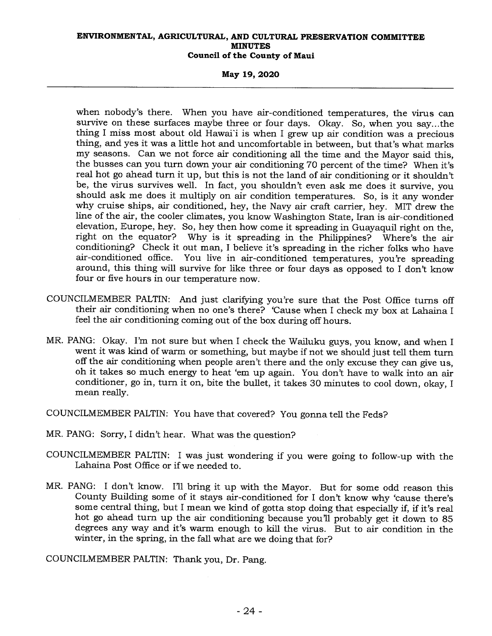**May 19, 2020** 

when nobody's there. When you have air-conditioned temperatures, the virus can survive on these surfaces maybe three or four days. Okay. So, when you say...the thing I miss most about old Hawai'i is when I grew up air condition was a precious thing, and yes it was a little hot and uncomfortable in between, but that's what marks my seasons. Can we not force air conditioning all the time and the Mayor said this, the busses can you turn down your air conditioning 70 percent of the time? When it's real hot go ahead turn it up, but this is not the land of air conditioning or it shouldn't be, the virus survives well. In fact, you shouldn't even ask me does it survive, you should ask me does it multiply on air condition temperatures. So, is it any wonder why cruise ships, air conditioned, hey, the Navy air craft carrier, hey. MIT drew the line of the air, the cooler climates, you know Washington State, Iran is air-conditioned elevation, Europe, hey. So, hey then how come it spreading in Guayaquil right on the, right on the equator? Why is it spreading in the Philippines? Where's the air conditioning? Check it out man, I believe it's spreading in the richer folks who have air-conditioned office. You live in air-conditioned temperatures, you're spreading around, this thing will survive for like three or four days as opposed to I don't know four or five hours in our temperature now.

- COUNCILMEMBER PALTIN: And just clarifying you're sure that the Post Office turns off their air conditioning when no one's there? 'Cause when I check my box at Lahaina I feel the air conditioning coming out of the box during off hours.
- MR. PANG: Okay. I'm not sure but when I check the Wailuku guys, you know, and when I went it was kind of warm or something, but maybe if not we should just tell them turn off the air conditioning when people aren't there and the only excuse they can give us, oh it takes so much energy to heat 'em up again. You don't have to walk into an air conditioner, go in, turn it on, bite the bullet, it takes 30 minutes to cool down, okay, I mean really.

COUNCILMEMBER PALTIN: You have that covered? You gonna tell the Feds?

- MR. PANG: Sorry, I didn't hear. What was the question?
- COUNCILMEMBER PALTIN: I was just wondering if you were going to follow-up with the Lahaina Post Office or if we needed to.
- MR. PANG: I don't know. I'll bring it up with the Mayor. But for some odd reason this County Building some of it stays air-conditioned for I don't know why 'cause there's some central thing, but I mean we kind of gotta stop doing that especially if, if it's real hot go ahead turn up the air conditioning because you'll probably get it down to 85 degrees any way and it's warm enough to kill the virus. But to air condition in the winter, in the spring, in the fall what are we doing that for?

COUNCILMEMBER PALTIN: Thank you, Dr. Pang.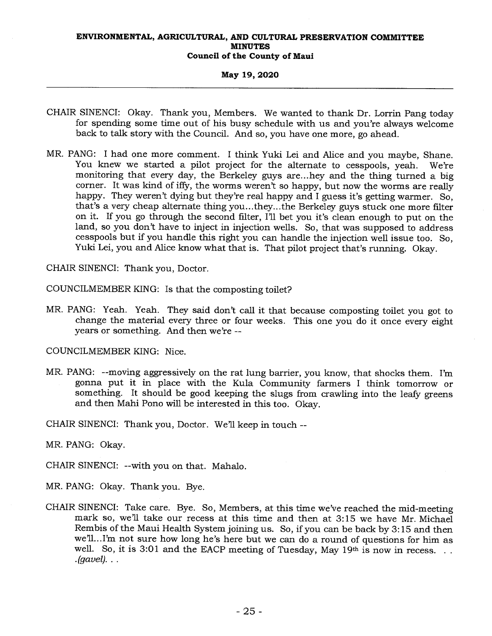### **May 19, 2020**

- CHAIR SINENCI: Okay. Thank you, Members. We wanted to thank Dr. Lorrin Pang today for spending some time out of his busy schedule with us and you're always welcome back to talk story with the Council. And so, you have one more, go ahead.
- MR. PANG: I had one more comment. I think Yuki Lei and Alice and you maybe, Shane. You knew we started a pilot project for the alternate to cesspools, yeah. We're monitoring that every day, the Berkeley guys are...hey and the thing turned a big corner. It was kind of iffy, the worms weren't so happy, but now the worms are really happy. They weren't dying but they're real happy and I guess it's getting warmer. So, that's a very cheap alternate thing you...they...the Berkeley guys stuck one more filter on it. If you go through the second filter, I'll bet you it's clean enough to put on the land, so you don't have to inject in injection wells. So, that was supposed to address cesspools but if you handle this right you can handle the injection well issue too. So, Yuki Lei, you and Alice know what that is. That pilot project that's running. Okay.

CHAIR SINENCI: Thank you, Doctor.

COUNCILMEMBER KING: Is that the composting toilet?

MR. PANG: Yeah. Yeah. They said don't call it that because composting toilet you got to change the material every three or four weeks. This one you do it once every eight years or something. And then we're --

COUNCILMEMBER KING: Nice.

MR. PANG: --moving aggressively on the rat lung barrier, you know, that shocks them. I'm gonna put it in place with the Kula Community farmers I think tomorrow or something. It should be good keeping the slugs from crawling into the leafy greens and then Mahi Pono will be interested in this too. Okay.

CHAIR SINENCI: Thank you, Doctor. We'll keep in touch --

MR. PANG: Okay.

CHAIR SINENCI: --with you on that. Mahalo.

MR. PANG: Okay. Thank you. Bye.

CHAIR SINENCI: Take care. Bye. So, Members, at this time we've reached the mid-meeting mark so, we'll take our recess at this time and then at 3:15 we have Mr. Michael Rembis of the Maui Health System joining us. So, if you can be back by 3:15 and then we'll...I'm not sure how long he's here but we can do a round of questions for him as well. So, it is 3:01 and the EACP meeting of Tuesday, May 19th is now in recess. . . *.(gavel). . .*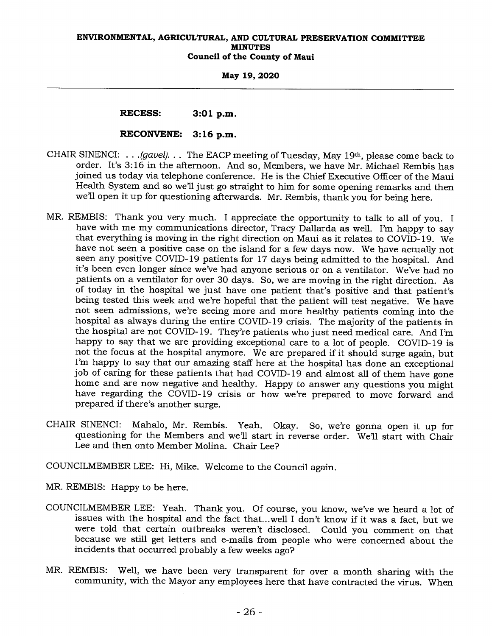**May 19, 2020** 

## **RECESS: 3:01 p.m.**

## **RECONVENE: 3:16 p.m.**

- CHAIR SINENCI: . . *.(gavel). . .* The EACP meeting of Tuesday, May 19th, please come back to order. It's 3:16 in the afternoon. And so, Members, we have Mr. Michael Rembis has joined us today via telephone conference. He is the Chief Executive Officer of the Maui Health System and so we'll just go straight to him for some opening remarks and then we'll open it up for questioning afterwards. Mr. Rembis, thank you for being here.
- MR. REMBIS: Thank you very much. I appreciate the opportunity to talk to all of you. I have with me my communications director, Tracy Dallarda as well. I'm happy to say that everything is moving in the right direction on Maui as it relates to COVID-19. We have not seen a positive case on the island for a few days now. We have actually not seen any positive COVID-19 patients for 17 days being admitted to the hospital. And it's been even longer since we've had anyone serious or on a ventilator. We've had no patients on a ventilator for over 30 days. So, we are moving in the right direction. As of today in the hospital we just have one patient that's positive and that patient's being tested this week and we're hopeful that the patient will test negative. We have not seen admissions, we're seeing more and more healthy patients coming into the hospital as always during the entire COVID-19 crisis. The majority of the patients in the hospital are not COVID-19. They're patients who just need medical care. And I'm happy to say that we are providing exceptional care to a lot of people. COVID-19 is not the focus at the hospital anymore. We are prepared if it should surge again, but I'm happy to say that our amazing staff here at the hospital has done an exceptional job of caring for these patients that had COVID-19 and almost all of them have gone home and are now negative and healthy. Happy to answer any questions you might have regarding the COVID-19 crisis or how we're prepared to move forward and prepared if there's another surge.
- CHAIR SINENCI: Mahalo, Mr. Rembis. Yeah. Okay. So, we're gonna open it up for questioning for the Members and we'll start in reverse order. We'll start with Chair Lee and then onto Member Molina. Chair Lee?

COUNCILMEMBER LEE: Hi, Mike. Welcome to the Council again.

MR. REMBIS: Happy to be here.

- COUNCILMEMBER LEE: Yeah. Thank you. Of course, you know, we've we heard a lot of issues with the hospital and the fact that...well I don't know if it was a fact, but we were told that certain outbreaks weren't disclosed. Could you comment on that because we still get letters and e-mails from people who were concerned about the incidents that occurred probably a few weeks ago?
- MR. REMBIS: Well, we have been very transparent for over a month sharing with the community, with the Mayor any employees here that have contracted the virus. When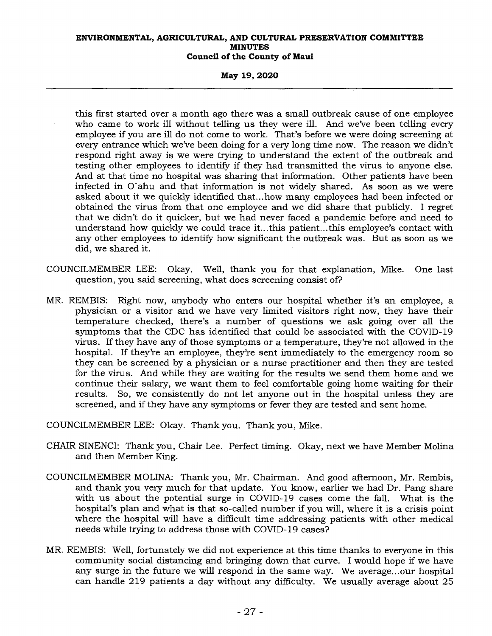**May 19, 2020** 

this first started over a month ago there was a small outbreak cause of one employee who came to work ill without telling us they were ill. And we've been telling every employee if you are ill do not come to work. That's before we were doing screening at every entrance which we've been doing for a very long time now. The reason we didn't respond right away is we were trying to understand the extent of the outbreak and testing other employees to identify if they had transmitted the virus to anyone else. And at that time no hospital was sharing that information. Other patients have been infected in O ahu and that information is not widely shared. As soon as we were asked about it we quickly identified that...how many employees had been infected or obtained the virus from that one employee and we did share that publicly. I regret that we didn't do it quicker, but we had never faced a pandemic before and need to understand how quickly we could trace it...this patient...this employee's contact with any other employees to identify how significant the outbreak was. But as soon as we did, we shared it.

- COUNCILMEMBER LEE: Okay. Well, thank you for that explanation, Mike. One last question, you said screening, what does screening consist of?
- MR. REMBIS: Right now, anybody who enters our hospital whether it's an employee, a physician or a visitor and we have very limited visitors right now, they have their temperature checked, there's a number of questions we ask going over all the symptoms that the CDC has identified that could be associated with the COVID-19 virus. If they have any of those symptoms or a temperature, they're not allowed in the hospital. If they're an employee, they're sent immediately to the emergency room so they can be screened by a physician or a nurse practitioner and then they are tested for the virus. And while they are waiting for the results we send them home and we continue their salary, we want them to feel comfortable going home waiting for their results. So, we consistently do not let anyone out in the hospital unless they are screened, and if they have any symptoms or fever they are tested and sent home.

COUNCILMEMBER LEE: Okay. Thank you. Thank you, Mike.

- CHAIR SINENCI: Thank you, Chair Lee. Perfect timing. Okay, next we have Member Molina and then Member King.
- COUNCILMEMBER MOLINA: Thank you, Mr. Chairman. And good afternoon, Mr. Rembis, and thank you very much for that update. You know, earlier we had Dr. Pang share with us about the potential surge in COVID-19 cases come the fall. What is the hospital's plan and what is that so-called number if you will, where it is a crisis point where the hospital will have a difficult time addressing patients with other medical needs while trying to address those with COVID-19 cases?
- MR. REMBIS: Well, fortunately we did not experience at this time thanks to everyone in this community social distancing and bringing down that curve. I would hope if we have any surge in the future we will respond in the same way. We average...our hospital can handle 219 patients a day without any difficulty. We usually average about 25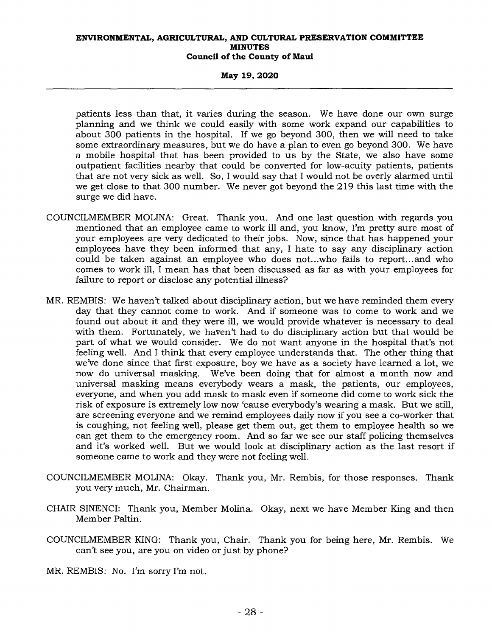### **May 19, 2020**

patients less than that, it varies during the season. We have done our own surge planning and we think we could easily with some work expand our capabilities to about 300 patients in the hospital. If we go beyond 300, then we will need to take some extraordinary measures, but we do have a plan to even go beyond 300. We have a mobile hospital that has been provided to us by the State, we also have some outpatient facilities nearby that could be converted for low-acuity patients, patients that are not very sick as well. So, I would say that I would not be overly alarmed until we get close to that 300 number. We never got beyond the 219 this last time with the surge we did have.

- COUNCILMEMBER MOLINA: Great. Thank you. And one last question with regards you mentioned that an employee came to work ill and, you know, I'm pretty sure most of your employees are very dedicated to their jobs. Now, since that has happened your employees have they been informed that any, I hate to say any disciplinary action could be taken against an employee who does not...who fails to report...and who comes to work ill, I mean has that been discussed as far as with your employees for failure to report or disclose any potential illness?
- MR. REMBIS: We haven't talked about disciplinary action, but we have reminded them every day that they cannot come to work. And if someone was to come to work and we found out about it and they were ill, we would provide whatever is necessary to deal with them. Fortunately, we haven't had to do disciplinary action but that would be part of what we would consider. We do not want anyone in the hospital that's not feeling well. And I think that every employee understands that. The other thing that we've done since that first exposure, boy we have as a society have learned a lot, we<br>now do universal masking. We've been doing that for almost a month now and We've been doing that for almost a month now and universal masking means everybody wears a mask, the patients, our employees, everyone, and when you add mask to mask even if someone did come to work sick the risk of exposure is extremely low now 'cause everybody's wearing a mask. But we still, are screening everyone and we remind employees daily now if you see a co-worker that is coughing, not feeling well, please get them out, get them to employee health so we can get them to the emergency room. And so far we see our staff policing themselves and it's worked well. But we would look at disciplinary action as the last resort if someone came to work and they were not feeling well.
- COUNCILMEMBER MOLINA: Okay. Thank you, Mr. Rembis, for those responses. Thank you very much, Mr. Chairman.
- CHAIR SINENCI: Thank you, Member Molina. Okay, next we have Member King and then Member Paltin.
- COUNCILMEMBER KING: Thank you, Chair. Thank you for being here, Mr. Rembis. We can't see you, are you on video or just by phone?

MR. REMBIS: No. I'm sorry I'm not.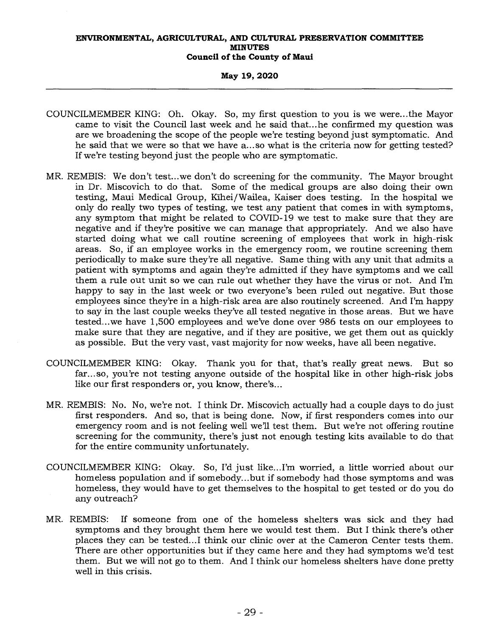## **May 19, 2020**

- COUNCILMEMBER KING: Oh. Okay. So, my first question to you is we were...the Mayor came to visit the Council last week and he said that...he confirmed my question was are we broadening the scope of the people we're testing beyond just symptomatic. And he said that we were so that we have a... so what is the criteria now for getting tested? If we're testing beyond just the people who are symptomatic.
- MR. REMBIS: We don't test...we don't do screening for the community. The Mayor brought in Dr. Miscovich to do that. Some of the medical groups are also doing their own testing, Maui Medical Group, Kihei/Wailea, Kaiser does testing. In the hospital we only do really two types of testing, we test any patient that comes in with symptoms, any symptom that might be related to COVID-19 we test to make sure that they are negative and if they're positive we can manage that appropriately. And we also have started doing what we call routine screening of employees that work in high-risk areas. So, if an employee works in the emergency room, we routine screening them periodically to make sure they're all negative. Same thing with any unit that admits a patient with symptoms and again they're admitted if they have symptoms and we call them a rule out unit so we can rule out whether they have the virus or not. And I'm happy to say in the last week or two everyone's been ruled out negative. But those employees since they're in a high-risk area are also routinely screened. And I'm happy to say in the last couple weeks they've all tested negative in those areas. But we have tested...we have 1,500 employees and we've done over 986 tests on our employees to make sure that they are negative, and if they are positive, we get them out as quickly as possible. But the very vast, vast majority for now weeks, have all been negative.
- COUNCILMEMBER KING: Okay. Thank you for that, that's really great news. But so far...so, you're not testing anyone outside of the hospital like in other high-risk jobs like our first responders or, you know, there's...
- MR. REMBIS: No. No, we're not. I think Dr. Miscovich actually had a couple days to do just first responders. And so, that is being done. Now, if first responders comes into our emergency room and is not feeling well we'll test them. But we're not offering routine screening for the community, there's just not enough testing kits available to do that for the entire community unfortunately.
- COUNCILMEMBER KING: Okay. So, I'd just like...I'm worried, a little worried about our homeless population and if somebody...but if somebody had those symptoms and was homeless, they would have to get themselves to the hospital to get tested or do you do any outreach?
- MR. REMBIS: If someone from one of the homeless shelters was sick and they had symptoms and they brought them here we would test them. But I think there's other places they can be tested...I think our clinic over at the Cameron Center tests them. There are other opportunities but if they came here and they had symptoms we'd test them. But we will not go to them. And I think our homeless shelters have done pretty well in this crisis.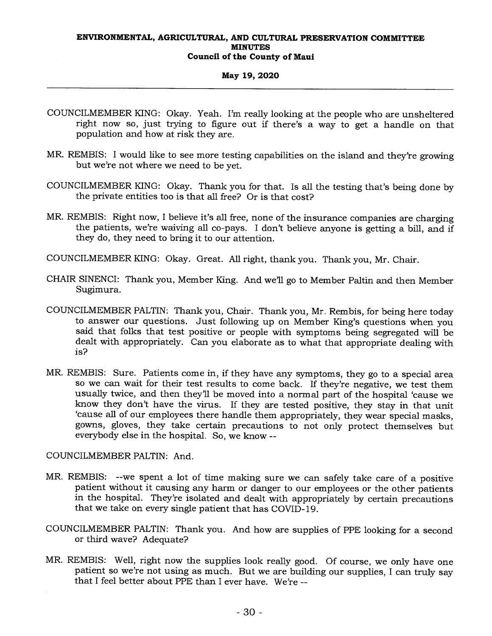## **May 19, 2020**

- COUNCILMEMBER KING: Okay. Yeah. I'm really looking at the people who are unsheltered right now so, just trying to figure out if there's a way to get a handle on that population and how at risk they are.
- MR. REMBIS: I would like to see more testing capabilities on the island and they're growing but we're not where we need to be yet.
- COUNCILMEMBER KING: Okay. Thank you for that. Is all the testing that's being done by the private entities too is that all free? Or is that cost?
- MR. REMBIS: Right now, I believe it's all free, none of the insurance companies are charging the patients, we're waiving all co-pays. I don't believe anyone is getting a bill, and if they do, they need to bring it to our attention.
- COUNCILMEMBER KING: Okay. Great. All right, thank you. Thank you, Mr. Chair.
- CHAIR SINENCI: Thank you, Member King. And we'll go to Member Paltin and then Member Sugimura.
- COUNCILMEMBER PALTIN: Thank you, Chair. Thank you, Mr. Rembis, for being here today to answer our questions. Just following up on Member King's questions when you said that folks that test positive or people with symptoms being segregated will be dealt with appropriately. Can you elaborate as to what that appropriate dealing with is?
- MR. REMBIS: Sure. Patients come in, if they have any symptoms, they go to a special area so we can wait for their test results to come back. If they're negative, we test them usually twice, and then they'll be moved into a normal part of the hospital 'cause we know they don't have the virus. If they are tested positive, they stay in that unit `cause all of our employees there handle them appropriately, they wear special masks, gowns, gloves, they take certain precautions to not only protect themselves but everybody else in the hospital. So, we know --

COUNCILMEMBER PALTIN: And.

- MR. REMBIS: --we spent a lot of time making sure we can safely take care of a positive patient without it causing any harm or danger to our employees or the other patients in the hospital. They're isolated and dealt with appropriately by certain precautions that we take on every single patient that has COVID-19.
- COUNCILMEMBER PALTIN: Thank you. And how are supplies of PPE looking for a second or third wave? Adequate?
- MR. REMBIS: Well, right now the supplies look really good. Of course, we only have one patient so we're not using as much. But we are building our supplies, I can truly say that I feel better about PPE than I ever have. We're --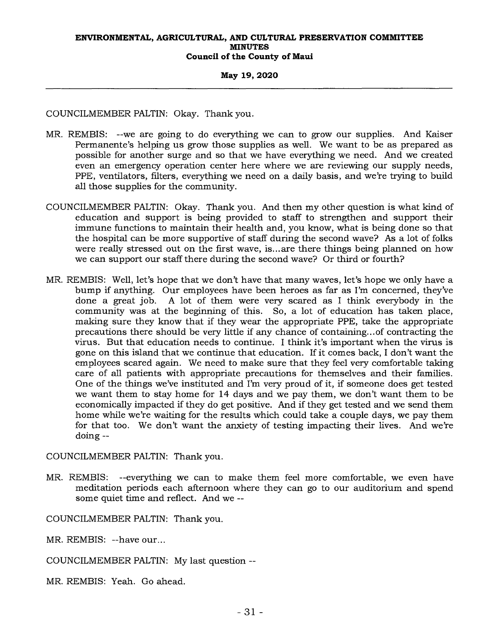## **May 19, 2020**

COUNCILMEMBER PALTIN: Okay. Thank you.

- MR. REMBIS: --we are going to do everything we can to grow our supplies. And Kaiser Permanente's helping us grow those supplies as well. We want to be as prepared as possible for another surge and so that we have everything we need. And we created even an emergency operation center here where we are reviewing our supply needs, PPE, ventilators, filters, everything we need on a daily basis, and we're trying to build all those supplies for the community.
- COUNCILMEMBER PALTIN: Okay. Thank you. And then my other question is what kind of education and support is being provided to staff to strengthen and support their immune functions to maintain their health and, you know, what is being done so that the hospital can be more supportive of staff during the second wave? As a lot of folks were really stressed out on the first wave, is...are there things being planned on how we can support our staff there during the second wave? Or third or fourth?
- MR. REMBIS: Well, let's hope that we don't have that many waves, let's hope we only have a bump if anything. Our employees have been heroes as far as I'm concerned, they've done a great job. A lot of them were very scared as I think everybody in the community was at the beginning of this. So, a lot of education has taken place, making sure they know that if they wear the appropriate PPE, take the appropriate precautions there should be very little if any chance of containing... of contracting the virus. But that education needs to continue. I think it's important when the virus is gone on this island that we continue that education. If it comes back, I don't want the employees scared again. We need to make sure that they feel very comfortable taking care of all patients with appropriate precautions for themselves and their families. One of the things we've instituted and I'm very proud of it, if someone does get tested we want them to stay home for 14 days and we pay them, we don't want them to be economically impacted if they do get positive. And if they get tested and we send them home while we're waiting for the results which could take a couple days, we pay them for that too. We don't want the anxiety of testing impacting their lives. And we're doing --

COUNCILMEMBER PALTIN: Thank you.

MR. REMBIS: --everything we can to make them feel more comfortable, we even have meditation periods each afternoon where they can go to our auditorium and spend some quiet time and reflect. And we --

COUNCILMEMBER PALTIN: Thank you.

MR. REMBIS: --have our...

COUNCILMEMBER PALTIN: My last question --

MR. REMBIS: Yeah. Go ahead.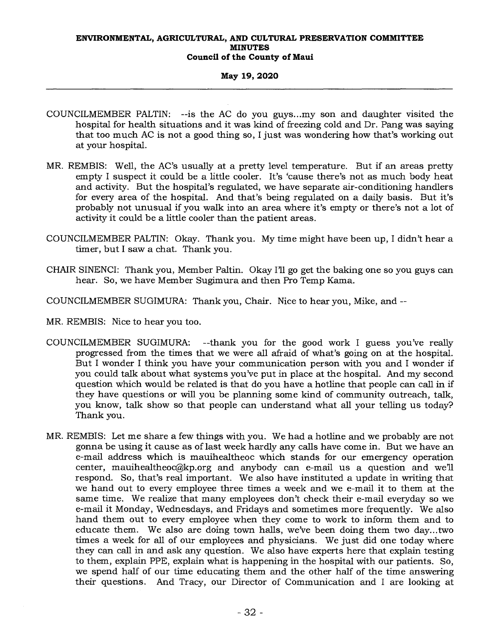## **May 19, 2020**

- COUNCILMEMBER PALTIN: --is the AC do you guys...my son and daughter visited the hospital for health situations and it was kind of freezing cold and Dr. Pang was saying that too much AC is not a good thing so, I just was wondering how that's working out at your hospital.
- MR. REMBIS: Well, the AC's usually at a pretty level temperature. But if an areas pretty empty I suspect it could be a little cooler. It's 'cause there's not as much body heat and activity. But the hospital's regulated, we have separate air-conditioning handlers for every area of the hospital. And that's being regulated on a daily basis. But it's probably not unusual if you walk into an area where it's empty or there's not a lot of activity it could be a little cooler than the patient areas.
- COUNCILMEMBER PALTIN: Okay. Thank you. My time might have been up, I didn't hear a timer, but I saw a chat. Thank you.
- CHAIR SINENCI: Thank you, Member Paltin. Okay I'll go get the baking one so you guys can hear. So, we have Member Sugimura and then Pro Temp Kama.
- COUNCILMEMBER SUGIMURA: Thank you, Chair. Nice to hear you, Mike, and --
- MR. REMBIS: Nice to hear you too.
- COUNCILMEMBER SUGIMURA: --thank you for the good work I guess you've really progressed from the times that we were all afraid of what's going on at the hospital. But I wonder I think you have your communication person with you and I wonder if you could talk about what systems you've put in place at the hospital. And my second question which would be related is that do you have a hotline that people can call in if they have questions or will you be planning some kind of community outreach, talk, you know, talk show so that people can understand what all your telling us today? Thank you.
- MR. REMBIS: Let me share a few things with you. We had a hotline and we probably are not gonna be using it cause as of last week hardly any calls have come in. But we have an e-mail address which is mauihealtheoc which stands for our emergency operation center, mauihealtheoc@kp.org and anybody can e-mail us a question and we'll respond. So, that's real important. We also have instituted a update in writing that we hand out to every employee three times a week and we e-mail it to them at the same time. We realize that many employees don't check their e-mail everyday so we e-mail it Monday, Wednesdays, and Fridays and sometimes more frequently. We also hand them out to every employee when they come to work to inform them and to educate them. We also are doing town halls, we've been doing them two day...two times a week for all of our employees and physicians. We just did one today where they can call in and ask any question. We also have experts here that explain testing to them, explain PPE, explain what is happening in the hospital with our patients. So, we spend half of our time educating them and the other half of the time answering their questions. And Tracy, our Director of Communication and I are looking at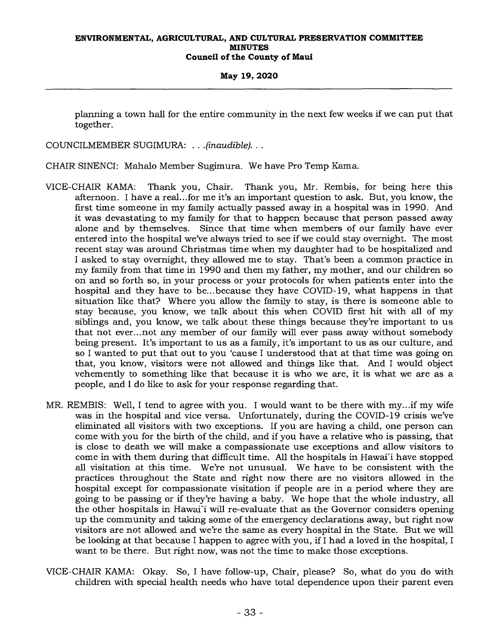**May 19, 2020** 

planning a town hall for the entire community in the next few weeks if we can put that together.

COUNCILMEMBER SUGIMURA: . . *.(inaudible). . .* 

CHAIR SINENCI: Mahalo Member Sugimura. We have Pro Temp Kama.

- VICE-CHAIR KAMA: Thank you, Chair. Thank you, Mr. Rembis, for being here this afternoon. I have a real...for me it's an important question to ask. But, you know, the first time someone in my family actually passed away in a hospital was in 1990. And it was devastating to my family for that to happen because that person passed away alone and by themselves. Since that time when members of our family have ever entered into the hospital we've always tried to see if we could stay overnight. The most recent stay was around Christmas time when my daughter had to be hospitalized and I asked to stay overnight, they allowed me to stay. That's been a common practice in my family from that time in 1990 and then my father, my mother, and our children so on and so forth so, in your process or your protocols for when patients enter into the hospital and they have to be...because they have COVID-19, what happens in that situation like that? Where you allow the family to stay, is there is someone able to stay because, you know, we talk about this when COVID first hit with all of my siblings and, you know, we talk about these things because they're important to us that not ever...not any member of our family will ever pass away without somebody being present. It's important to us as a family, it's important to us as our culture, and so I wanted to put that out to you 'cause I understood that at that time was going on that, you know, visitors were not allowed and things like that. And I would object vehemently to something like that because it is who we are, it is what we are as a people, and I do like to ask for your response regarding that.
- MR. REMBIS: Well, I tend to agree with you. I would want to be there with my...if my wife was in the hospital and vice versa. Unfortunately, during the COVID-19 crisis we've eliminated all visitors with two exceptions. If you are having a child, one person can come with you for the birth of the child, and if you have a relative who is passing, that is close to death we will make a compassionate use exceptions and allow visitors to come in with them during that difficult time. All the hospitals in Hawai'i have stopped all visitation at this time. We're not unusual. We have to be consistent with the practices throughout the State and right now there are no visitors allowed in the hospital except for compassionate visitation if people are in a period where they are going to be passing or if they're having a baby. We hope that the whole industry, all the other hospitals in Hawai'i will re-evaluate that as the Governor considers opening up the community and taking some of the emergency declarations away, but right now visitors are not allowed and we're the same as every hospital in the State. But we will be looking at that because I happen to agree with you, if I had a loved in the hospital, I want to be there. But right now, was not the time to make those exceptions.
- VICE-CHAIR KAMA: Okay. So, I have follow-up, Chair, please? So, what do you do with children with special health needs who have total dependence upon their parent even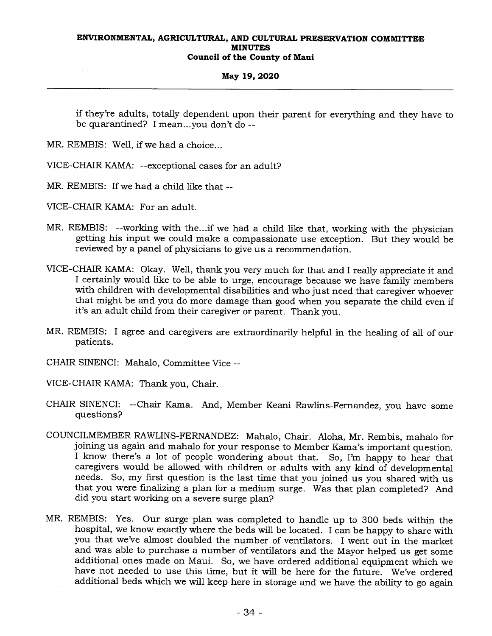## **May 19, 2020**

if they're adults, totally dependent upon their parent for everything and they have to be quarantined? I mean...you don't do --

MR. REMBIS: Well, if we had a choice...

- VICE-CHAIR KAMA: --exceptional cases for an adult?
- MR. REMBIS: If we had a child like that --

VICE-CHAIR KAMA: For an adult.

- MR. REMBIS: --working with the...if we had a child like that, working with the physician getting his input we could make a compassionate use exception. But they would be reviewed by a panel of physicians to give us a recommendation.
- VICE-CHAIR KAMA: Okay. Well, thank you very much for that and I really appreciate it and I certainly would like to be able to urge, encourage because we have family members with children with developmental disabilities and who just need that caregiver whoever that might be and you do more damage than good when you separate the child even if it's an adult child from their caregiver or parent. Thank you.
- MR. REMBIS: I agree and caregivers are extraordinarily helpful in the healing of all of our patients.
- CHAIR SINENCI: Mahalo, Committee Vice --
- VICE-CHAIR KAMA: Thank you, Chair.
- CHAIR SINENCI: --Chair Kama. And, Member Keani Rawlins-Fernandez, you have some questions?
- COUNCILMEMBER RAWLINS-FERNANDEZ: Mahalo, Chair. Aloha, Mr. Rembis, mahalo for joining us again and mahalo for your response to Member Kama's important question. I know there's a lot of people wondering about that. So, I'm happy to hear that caregivers would be allowed with children or adults with any kind of developmental needs. So, my first question is the last time that you joined us you shared with us that you were finalizing a plan for a medium surge. Was that plan completed? And did you start working on a severe surge plan?
- MR. REMBIS: Yes. Our surge plan was completed to handle up to 300 beds within the hospital, we know exactly where the beds will be located. I can be happy to share with you that we've almost doubled the number of ventilators. I went out in the market and was able to purchase a number of ventilators and the Mayor helped us get some additional ones made on Maui. So, we have ordered additional equipment which we have not needed to use this time, but it will be here for the future. We've ordered additional beds which we will keep here in storage and we have the ability to go again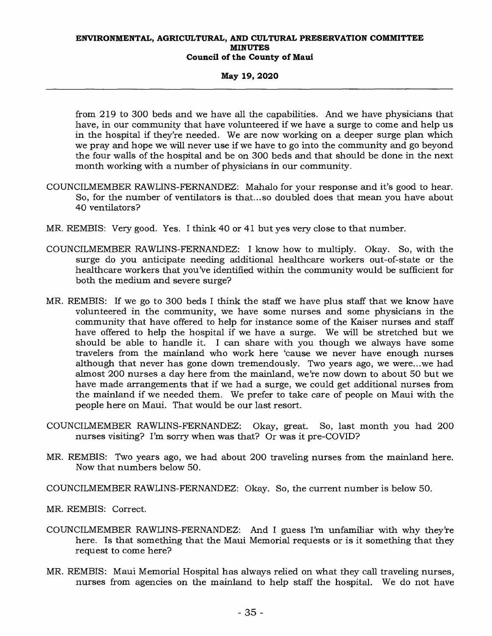## **May 19, 2020**

from 219 to 300 beds and we have all the capabilities. And we have physicians that have, in our community that have volunteered if we have a surge to come and help us in the hospital if they're needed. We are now working on a deeper surge plan which we pray and hope we will never use if we have to go into the community and go beyond the four walls of the hospital and be on 300 beds and that should be done in the next month working with a number of physicians in our community.

- COUNCILMEMBER RAWLINS-FERNANDEZ: Mahalo for your response and it's good to hear. So, for the number of ventilators is that...so doubled does that mean you have about 40 ventilators?
- MR. REMBIS: Very good. Yes. I think 40 or 41 but yes very close to that number.
- COUNCILMEMBER RAWLINS-FERNANDEZ: I know how to multiply. Okay. So, with the surge do you anticipate needing additional healthcare workers out-of-state or the healthcare workers that you've identified within the community would be sufficient for both the medium and severe surge?
- MR. REMBIS: If we go to 300 beds I think the staff we have plus staff that we know have volunteered in the community, we have some nurses and some physicians in the community that have offered to help for instance some of the Kaiser nurses and staff have offered to help the hospital if we have a surge. We will be stretched but we should be able to handle it. I can share with you though we always have some travelers from the mainland who work here 'cause we never have enough nurses although that never has gone down tremendously. Two years ago, we were...we had almost 200 nurses a day here from the mainland, we're now down to about 50 but we have made arrangements that if we had a surge, we could get additional nurses from the mainland if we needed them. We prefer to take care of people on Maui with the people here on Maui. That would be our last resort.
- COUNCILMEMBER RAWLINS-FERNANDEZ: Okay, great. So, last month you had 200 nurses visiting? I'm sorry when was that? Or was it pre-COVID?
- MR. REMBIS: Two years ago, we had about 200 traveling nurses from the mainland here. Now that numbers below 50.

COUNCILMEMBER RAWLINS-FERNANDEZ: Okay. So, the current number is below 50.

MR. REMBIS: Correct.

- COUNCILMEMBER RAWLINS-FERNANDEZ: And I guess I'm unfamiliar with why they're here. Is that something that the Maui Memorial requests or is it something that they request to come here?
- MR. REMBIS: Maui Memorial Hospital has always relied on what they call traveling nurses, nurses from agencies on the mainland to help staff the hospital. We do not have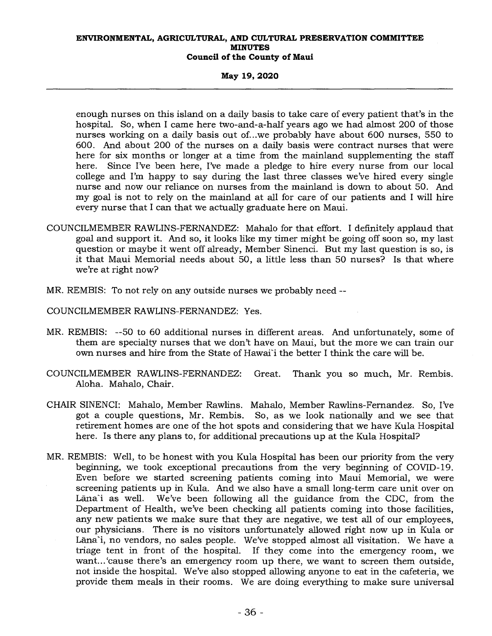## **May 19, 2020**

enough nurses on this island on a daily basis to take care of every patient that's in the hospital. So, when I came here two-and-a-half years ago we had almost 200 of those nurses working on a daily basis out of...we probably have about 600 nurses, 550 to 600. And about 200 of the nurses on a daily basis were contract nurses that were here for six months or longer at a time from the mainland supplementing the staff here. Since I've been here, I've made a pledge to hire every nurse from our local college and I'm happy to say during the last three classes we've hired every single nurse and now our reliance on nurses from the mainland is down to about 50. And my goal is not to rely on the mainland at all for care of our patients and I will hire every nurse that I can that we actually graduate here on Maui.

- COUNCILMEMBER RAWLINS-FERNANDEZ: Mahalo for that effort. I definitely applaud that goal and support it. And so, it looks like my timer might be going off soon so, my last question or maybe it went off already, Member Sinenci. But my last question is so, is it that Maui Memorial needs about 50, a little less than 50 nurses? Is that where we're at right now?
- MR. REMBIS: To not rely on any outside nurses we probably need --

COUNCILMEMBER RAWLINS-FERNANDEZ: Yes.

- MR. REMBIS: --50 to 60 additional nurses in different areas. And unfortunately, some of them are specialty nurses that we don't have on Maui, but the more we can train our own nurses and hire from the State of Hawai'i the better I think the care will be.
- COUNCILMEMBER RAWLINS-FERNANDEZ: Great. Thank you so much, Mr. Rembis. Aloha. Mahalo, Chair.
- CHAIR SINENCI: Mahalo, Member Rawlins. Mahalo, Member Rawlins-Fernandez. So, I've got a couple questions, Mr. Rembis. So, as we look nationally and we see that retirement homes are one of the hot spots and considering that we have Kula Hospital here. Is there any plans to, for additional precautions up at the Kula Hospital?
- MR. REMBIS: Well, to be honest with you Kula Hospital has been our priority from the very beginning, we took exceptional precautions from the very beginning of COVID-19. Even before we started screening patients coming into Maui Memorial, we were screening patients up in Kula. And we also have a small long-term care unit over on Lana'i as well. We've been following all the guidance from the CDC, from the Department of Health, we've been checking all patients coming into those facilities, any new patients we make sure that they are negative, we test all of our employees, our physicians. There is no visitors unfortunately allowed right now up in Kula or Lāna'i, no vendors, no sales people. We've stopped almost all visitation. We have a triage tent in front of the hospital. If they come into the emergency room, we want... 'cause there's an emergency room up there, we want to screen them outside, not inside the hospital. We've also stopped allowing anyone to eat in the cafeteria, we provide them meals in their rooms. We are doing everything to make sure universal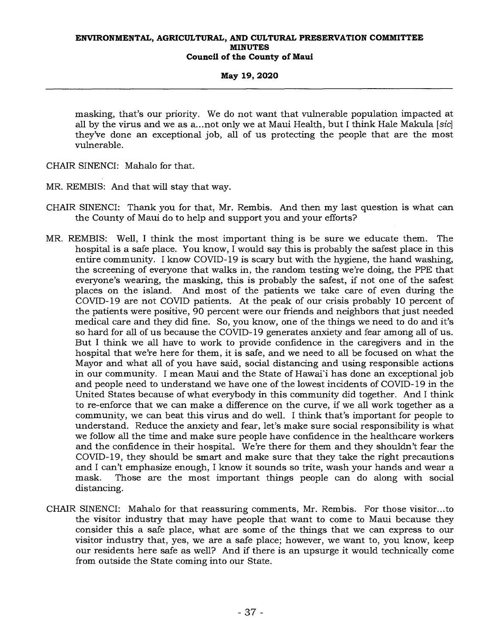## **May 19, 2020**

masking, that's our priority. We do not want that vulnerable population impacted at all by the virus and we as a...not only we at Maui Health, but I think Hale Makula *[sic]*  they've done an exceptional job, all of us protecting the people that are the most vulnerable.

CHAIR SINENCI: Mahalo for that.

MR. REMBIS: And that will stay that way.

- CHAIR SINENCI: Thank you for that, Mr. Rembis. And then my last question is what can the County of Maui do to help and support you and your efforts?
- MR. REMBIS: Well, I think the most important thing is be sure we educate them. The hospital is a safe place. You know, I would say this is probably the safest place in this entire community. I know COVID-19 is scary but with the hygiene, the hand washing, the screening of everyone that walks in, the random testing we're doing, the PPE that everyone's wearing, the masking, this is probably the safest, if not one of the safest places on the island. And most of the patients we take care of even during the COVID-19 are not COVID patients. At the peak of our crisis probably 10 percent of the patients were positive, 90 percent were our friends and neighbors that just needed medical care and they did fine. So, you know, one of the things we need to do and it's so hard for all of us because the COVID-19 generates anxiety and fear among all of us. But I think we all have to work to provide confidence in the caregivers and in the hospital that we're here for them, it is safe, and we need to all be focused on what the Mayor and what all of you have said, social distancing and using responsible actions in our community. I mean Maui and the State of Hawai'i has done an exceptional job and people need to understand we have one of the lowest incidents of COVID-19 in the United States because of what everybody in this community did together. And I think to re-enforce that we can make a difference on the curve, if we all work together as a community, we can beat this virus and do well. I think that's important for people to understand. Reduce the anxiety and fear, let's make sure social responsibility is what we follow all the time and make sure people have confidence in the healthcare workers and the confidence in their hospital. We're there for them and they shouldn't fear the COVID-19, they should be smart and make sure that they take the right precautions and I can't emphasize enough, I know it sounds so trite, wash your hands and wear a mask. Those are the most important things people can do along with social Those are the most important things people can do along with social distancing.
- CHAIR SINENCI: Mahalo for that reassuring comments, Mr. Rembis. For those visitor...to the visitor industry that may have people that want to come to Maui because they consider this a safe place, what are some of the things that we can express to our visitor industry that, yes, we are a safe place; however, we want to, you know, keep our residents here safe as well? And if there is an upsurge it would technically come from outside the State coming into our State.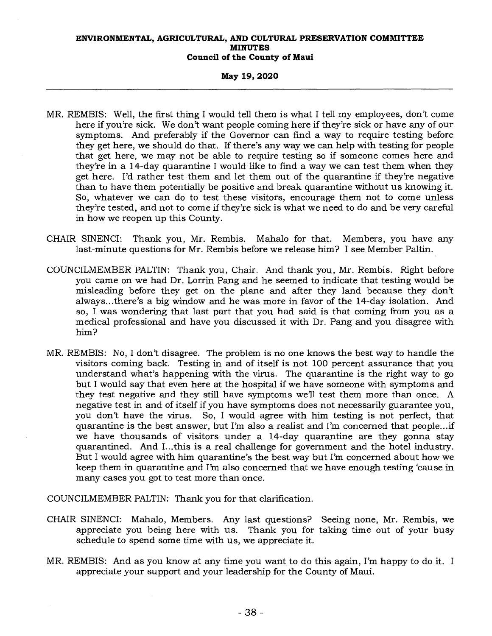### **May 19, 2020**

- MR. REMBIS: Well, the first thing I would tell them is what I tell my employees, don't come here if you're sick. We don't want people coming here if they're sick or have any of our symptoms. And preferably if the Governor can find a way to require testing before they get here, we should do that. If there's any way we can help with testing for people that get here, we may not be able to require testing so if someone comes here and they're in a 14-day quarantine I would like to find a way we can test them when they get here. I'd rather test them and let them out of the quarantine if they're negative than to have them potentially be positive and break quarantine without us knowing it. So, whatever we can do to test these visitors, encourage them not to come unless they're tested, and not to come if they're sick is what we need to do and be very careful in how we reopen up this County.
- CHAIR SINENCI: Thank you, Mr. Rembis. Mahalo for that. Members, you have any last-minute questions for Mr. Rembis before we release him? I see Member Paltin.
- COUNCILMEMBER PALTIN: Thank you, Chair. And thank you, Mr. Rembis. Right before you came on we had Dr. Lorrin Pang and he seemed to indicate that testing would be misleading before they get on the plane and after they land because they don't always...there's a big window and he was more in favor of the 14-day isolation. And so, I was wondering that last part that you had said is that coming from you as a medical professional and have you discussed it with Dr. Pang and you disagree with him?
- MR. REMBIS: No, I don't disagree. The problem is no one knows the best way to handle the visitors coming back. Testing in and of itself is not 100 percent assurance that you understand what's happening with the virus. The quarantine is the right way to go but I would say that even here at the hospital if we have someone with symptoms and they test negative and they still have symptoms we'll test them more than once. A negative test in and of itself if you have symptoms does not necessarily guarantee you, you don't have the virus. So, I would agree with him testing is not perfect, that quarantine is the best answer, but I'm also a realist and I'm concerned that people...if we have thousands of visitors under a 14-day quarantine are they gonna stay quarantined. And I...this is a real challenge for government and the hotel industry. But I would agree with him quarantine's the best way but I'm concerned about how we keep them in quarantine and I'm also concerned that we have enough testing 'cause in many cases you got to test more than once.

COUNCILMEMBER PALTIN: Thank you for that clarification.

- CHAIR SINENCI: Mahalo, Members. Any last questions? Seeing none, Mr. Rembis, we appreciate you being here with us. Thank you for taking time out of your busy schedule to spend some time with us, we appreciate it.
- MR. REMBIS: And as you know at any time you want to do this again, I'm happy to do it. I appreciate your support and your leadership for the County of Maui.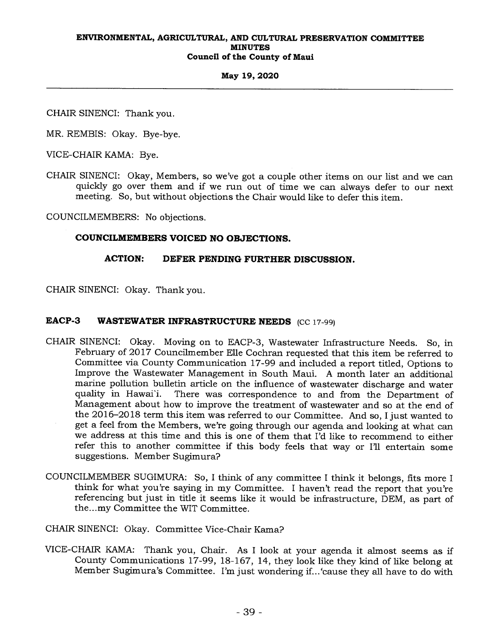## **May 19, 2020**

CHAIR SINENCI: Thank you.

MR. REMBIS: Okay. Bye-bye.

VICE-CHAIR KAMA: Bye.

CHAIR SINENCI: Okay, Members, so we've got a couple other items on our list and we can quickly go over them and if we run out of time we can always defer to our next meeting. So, but without objections the Chair would like to defer this item.

COUNCILMEMBERS: No objections.

## **COUNCILMEMBERS VOICED NO OBJECTIONS.**

## **ACTION: DEFER PENDING FURTHER DISCUSSION.**

CHAIR SINENCI: Okay. Thank you.

## **EACP-3** WASTEWATER INFRASTRUCTURE NEEDS (CC 17-99)

- CHAIR SINENCI: Okay. Moving on to EACP-3, Wastewater Infrastructure Needs. So, in February of 2017 Councilmember Elle Cochran requested that this item be referred to Committee via County Communication 17-99 and included a report titled, Options to Improve the Wastewater Management in South Maui. A month later an additional marine pollution bulletin article on the influence of wastewater discharge and water<br>quality in Hawai`i. There was correspondence to and from the Department of There was correspondence to and from the Department of Management about how to improve the treatment of wastewater and so at the end of the 2016-2018 term this item was referred to our Committee. And so, I just wanted to get a feel from the Members, we're going through our agenda and looking at what can we address at this time and this is one of them that I'd like to recommend to either refer this to another committee if this body feels that way or I'll entertain some suggestions. Member Sugimura?
- COUNCILMEMBER SUGIMURA: So, I think of any committee I think it belongs, fits more I think for what you're saying in my Committee. I haven't read the report that you're referencing but just in title it seems like it would be infrastructure, DEM, as part of the...my Committee the WIT Committee.

CHAIR SINENCI: Okay. Committee Vice-Chair Kama?

VICE-CHAIR KAMA: Thank you, Chair. As I look at your agenda it almost seems as if County Communications 17-99, 18-167, 14, they look like they kind of like belong at Member Sugimura's Committee. I'm just wondering if...`cause they all have to do with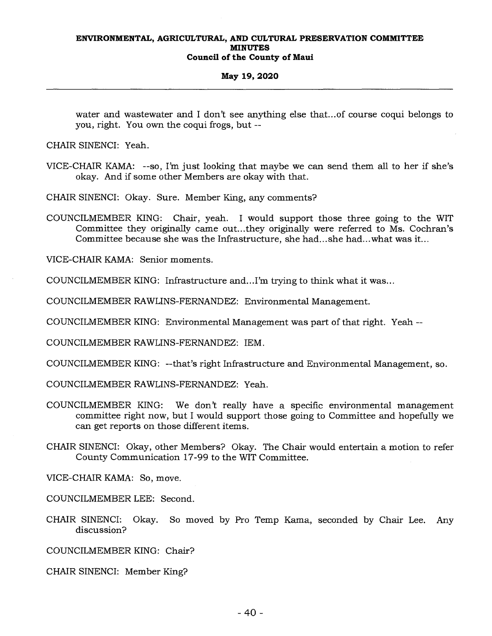### **May 19, 2020**

water and wastewater and I don't see anything else that...of course coqui belongs to you, right. You own the coqui frogs, but --

CHAIR SINENCI: Yeah.

VICE-CHAIR KAMA: --so, I'm just looking that maybe we can send them all to her if she's okay. And if some other Members are okay with that.

CHAIR SINENCI: Okay. Sure. Member King, any comments?

COUNCILMEMBER KING: Chair, yeah. I would support those three going to the WIT Committee they originally came out...they originally were referred to Ms. Cochran's Committee because she was the Infrastructure, she had...she had...what was it...

VICE-CHAIR KAMA: Senior moments.

COUNCILMEMBER KING: Infrastructure and...I'm trying to think what it was...

COUNCILMEMBER RAWLINS-FERNANDEZ: Environmental Management.

COUNCILMEMBER KING: Environmental Management was part of that right. Yeah --

COUNCILMEMBER RAWLINS-FERNANDEZ: IEM.

COUNCILMEMBER KING: --that's right Infrastructure and Environmental Management, so.

COUNCILMEMBER RAWLINS-FERNANDEZ: Yeah.

- COUNCILMEMBER KING: We don't really have a specific environmental management committee right now, but I would support those going to Committee and hopefully we can get reports on those different items.
- CHAIR SINENCI: Okay, other Members? Okay. The Chair would entertain a motion to refer County Communication 17-99 to the WIT Committee.

VICE-CHAIR KAMA: So, move.

COUNCILMEMBER LEE: Second.

CHAIR SINENCI: Okay. So moved by Pro Temp Kama, seconded by Chair Lee. Any discussion?

COUNCILMEMBER KING: Chair?

CHAIR SINENCI: Member King?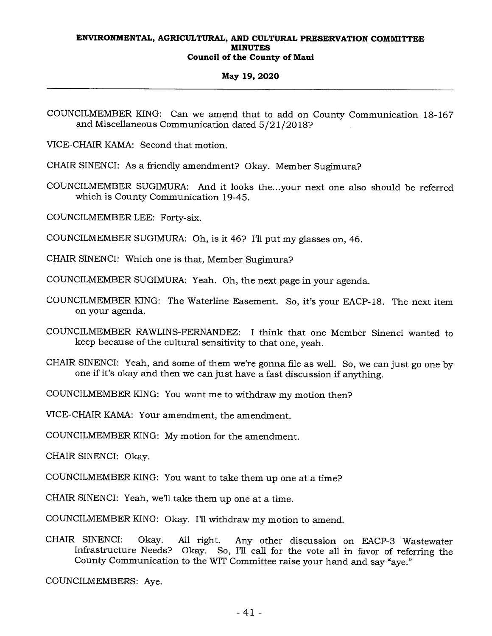## **May 19, 2020**

VICE-CHAIR KAMA: Second that motion.

CHAIR SINENCI: As a friendly amendment? Okay. Member Sugimura?

COUNCILMEMBER SUGIMURA: And it looks the...your next one also should be referred which is County Communication 19-45.

COUNCILMEMBER LEE: Forty-six.

COUNCILMEMBER SUGIMURA: Oh, is it 46? I'll put my glasses on, 46.

CHAIR SINENCI: Which one is that, Member Sugimura?

COUNCILMEMBER SUGIMURA: Yeah. Oh, the next page in your agenda.

- COUNCILMEMBER KING: The Waterline Easement. So, it's your EACP-18. The next item on your agenda.
- COUNCILMEMBER RAWLINS-FERNANDEZ: I think that one Member Sinenci wanted to keep because of the cultural sensitivity to that one, yeah.

CHAIR SINENCI: Yeah, and some of them we're gonna file as well. So, we can just go one by one if it's okay and then we can just have a fast discussion if anything.

COUNCILMEMBER KING: You want me to withdraw my motion then?

VICE-CHAIR KAMA: Your amendment, the amendment.

COUNCILMEMBER KING: My motion for the amendment.

CHAIR SINENCI: Okay.

COUNCILMEMBER KING: You want to take them up one at a time?

CHAIR SINENCI: Yeah, we'll take them up one at a time.

COUNCILMEMBER KING: Okay. I'll withdraw my motion to amend.

CHAIR SINENCI: Okay. All right. Any other discussion on EACP-3 Wastewater Infrastructure Needs? Okay. So, I'll call for the vote all in favor of referring the County Communication to the WIT Committee raise your hand and say "aye."

COUNCILMEMBERS: Aye.

COUNCILMEMBER KING: Can we amend that to add on County Communication 18-167 and Miscellaneous Communication dated 5/21/2018?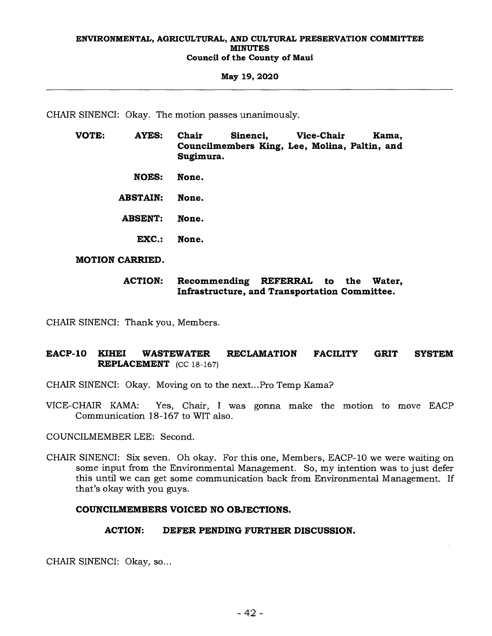#### **May 19, 2020**

CHAIR SINENCI: Okay. The motion passes unanimously.

- **VOTE: AYES: Chair Sinenci, Vice-Chair Kama, Councilmembers King, Lee, Molina, Paltin, and Sugimura.** 
	- **NOES: None.**

**ABSTAIN: None.** 

**ABSENT: None.** 

**EXC.: None.** 

**MOTION CARRIED.** 

## **ACTION: Recommending REFERRAL to the Water, Infrastructure, and Transportation Committee.**

CHAIR SINENCI: Thank you, Members.

## **EACP-10 KIHEI WASTEWATER RECLAMATION FACILITY GRIT SYSTEM REPLACEMENT (CC** 18-167)

CHAIR SINENCI: Okay. Moving on to the next...Pro Temp Kama?

VICE-CHAIR KAMA: Yes, Chair, I was gonna make the motion to move EACP Communication 18-167 to WIT also.

COUNCILMEMBER LEE: Second.

CHAIR SINENCI: Six seven. Oh okay. For this one, Members, EACP-10 we were waiting on some input from the Environmental Management. So, my intention was to just defer this until we can get some communication back from Environmental Management. If that's okay with you guys.

## **COUNCILMEMBERS VOICED NO OBJECTIONS.**

## **ACTION: DEFER PENDING FURTHER DISCUSSION.**

CHAIR SINENCI: Okay, so...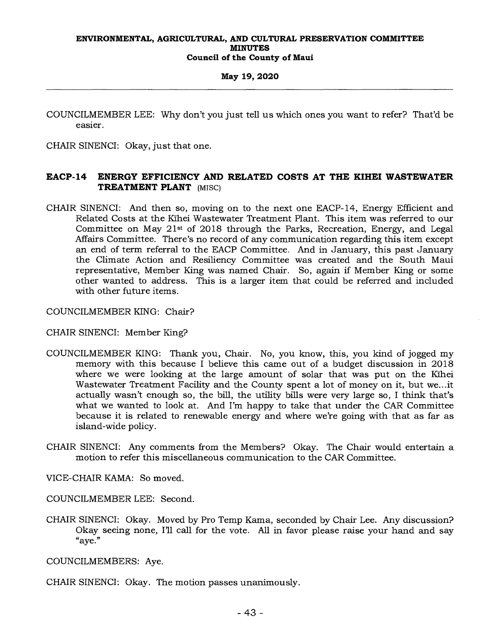## **May 19, 2020**

COUNCILMEMBER LEE: Why don't you just tell us which ones you want to refer? That'd be easier.

CHAIR SINENCI: Okay, just that one.

## **EACP-14 ENERGY EFFICIENCY AND RELATED COSTS AT THE KIHEI WASTEWATER TREATMENT PLANT (misc)**

CHAIR SINENCI: And then so, moving on to the next one EACP-14, Energy Efficient and Related Costs at the Kihei Wastewater Treatment Plant. This item was referred to our Committee on May 21st of 2018 through the Parks, Recreation, Energy, and Legal Affairs Committee. There's no record of any communication regarding this item except an end of term referral to the EACP Committee. And in January, this past January the Climate Action and Resiliency Committee was created and the South Maui representative, Member King was named Chair. So, again if Member King or some other wanted to address. This is a larger item that could be referred and included with other future items.

COUNCILMEMBER KING: Chair?

CHAIR SINENCI: Member King?

- COUNCILMEMBER KING: Thank you, Chair. No, you know, this, you kind of jogged my memory with this because I believe this came out of a budget discussion in 2018 where we were looking at the large amount of solar that was put on the Kihei Wastewater Treatment Facility and the County spent a lot of money on it, but we...it actually wasn't enough so, the bill, the utility bills were very large so, I think that's what we wanted to look at. And I'm happy to take that under the CAR Committee because it is related to renewable energy and where we're going with that as far as island-wide policy.
- CHAIR SINENCI: Any comments from the Members? Okay. The Chair would entertain a motion to refer this miscellaneous communication to the CAR Committee.
- VICE-CHAIR KAMA: So moved.

COUNCILMEMBER LEE: Second.

CHAIR SINENCI: Okay. Moved by Pro Temp Kama, seconded by Chair Lee. Any discussion? Okay seeing none, I'll call for the vote. All in favor please raise your hand and say "aye."

COUNCILMEMBERS: Aye.

CHAIR SINENCI: Okay. The motion passes unanimously.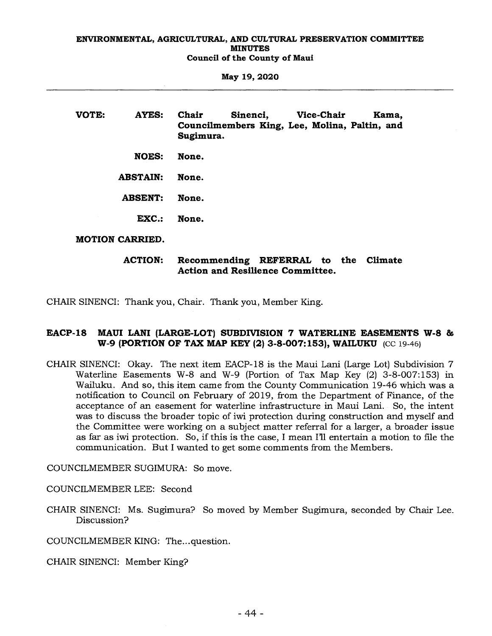**May 19, 2020** 

**VOTE: AYES: Chair Sinenci, Vice-Chair Kama, Councilmembers King, Lee, Molina, Paltin, and Sugimura. NOES: None. ABSTAIN: None.** 

**ABSENT: None.** 

**EXC.: None.** 

**MOTION CARRIED.** 

**ACTION: Recommending REFERRAL to the Climate Action and Resilience Committee.** 

CHAIR SINENCI: Thank you, Chair. Thank you, Member King.

## **EACP-18 MAUI LANI (LARGE-LOT) SUBDIVISION 7 WATERLINE EASEMENTS W-8 & W-9 (PORTION OF TAX MAP KEY (2) 3-8-007:153), WAILUKU** (CC 19-46)

CHAIR SINENCI: Okay. The next item EACP-18 is the Maui Lani (Large Lot) Subdivision 7 Waterline Easements W-8 and W-9 (Portion of Tax Map Key (2) 3-8-007:153) in Wailuku. And so, this item came from the County Communication 19-46 which was a notification to Council on February of 2019, from the Department of Finance, of the acceptance of an easement for waterline infrastructure in Maui Lani. So, the intent was to discuss the broader topic of iwi protection during construction and myself and the Committee were working on a subject matter referral for a larger, a broader issue as far as iwi protection. So, if this is the case, I mean I'll entertain a motion to file the communication. But I wanted to get some comments from the Members.

COUNCILMEMBER SUGIMURA: So move.

COUNCILMEMBER LEE: Second

CHAIR SINENCI: Ms. Sugimura? So moved by Member Sugimura, seconded by Chair Lee. Discussion?

COUNCILMEMBER KING: The...question.

CHAIR SINENCI: Member King?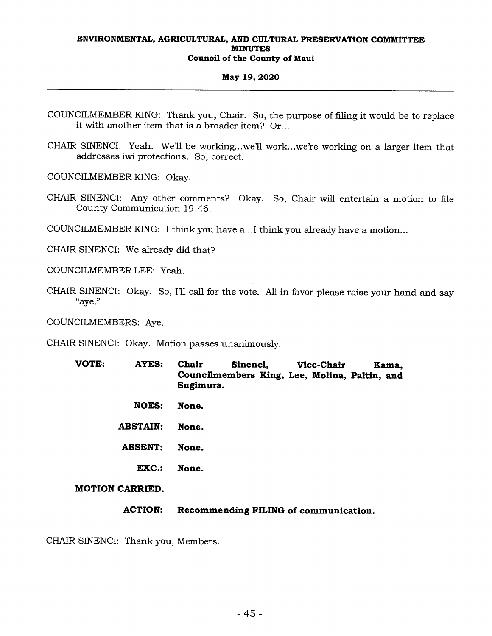## **May 19, 2020**

- COUNCILMEMBER KING: Thank you, Chair. So, the purpose of filing it would be to replace it with another item that is a broader item? Or...
- CHAIR SINENCI: Yeah. We'll be working...we'll work...we're working on a larger item that addresses iwi protections. So, correct.

COUNCILMEMBER KING: Okay.

- CHAIR SINENCI: Any other comments? Okay. So, Chair will entertain a motion to file County Communication 19-46.
- COUNCILMEMBER KING: I think you have a...I think you already have a motion...

CHAIR SINENCI: We already did that?

COUNCILMEMBER LEE: Yeah.

CHAIR SINENCI: Okay. So, I'll call for the vote. All in favor please raise your hand and say "aye."

COUNCILMEMBERS: Aye.

CHAIR SINENCI: Okay. Motion passes unanimously.

- **VOTE: AYES: Chair Sinenci, Vice-Chair Kama, Councilmembers King, Lee, Molina, Paltin, and Sugimura.** 
	- **NOES: None.**
	- **ABSTAIN: None.**
	- **ABSENT: None.** 
		- **EXC.: None.**

## **MOTION CARRIED.**

**ACTION: Recommending FILING of communication.** 

CHAIR SINENCI: Thank you, Members.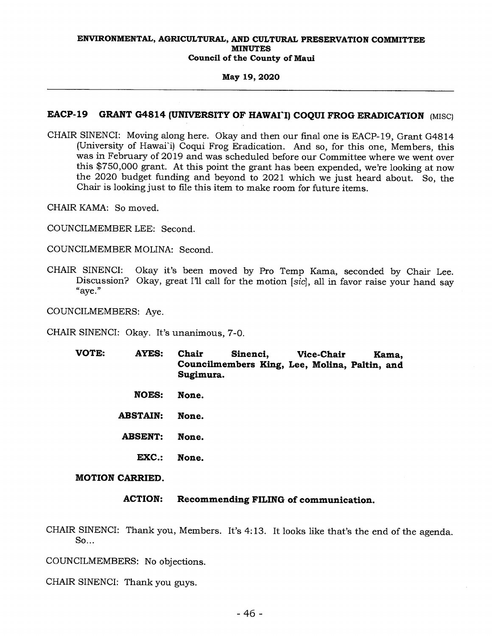## **May 19, 2020**

## **EACP-19 GRANT G4814 (UNIVERSITY OF HAWAI'I) COQUI FROG ERADICATION** (MISC)

CHAIR SINENCI: Moving along here. Okay and then our final one is EACP-19, Grant G4814 (University of Hawai'i) Coqui Frog Eradication. And so, for this one, Members, this was in February of 2019 and was scheduled before our Committee where we went over this \$750,000 grant. At this point the grant has been expended, we're looking at now the 2020 budget funding and beyond to 2021 which we just heard about. So, the Chair is looking just to file this item to make room for future items.

CHAIR KAMA: So moved.

COUNCILMEMBER LEE: Second.

COUNCILMEMBER MOLINA: Second.

CHAIR SINENCI: Okay it's been moved by Pro Temp Kama, seconded by Chair Lee. Discussion? Okay, great I'll call for the motion *[sic],* all in favor raise your hand say "aye."

COUNCILMEMBERS: Aye.

CHAIR SINENCI: Okay. It's unanimous, 7-0.

- **VOTE: AYES: Chair Sinenci, Vice-Chair Kama, Councilmembers King, Lee, Molina, Paltin, and Sugimura.** 
	- **NOES: None.**

**ABSTAIN: None.** 

- **ABSENT: None.** 
	- **EXC.: None.**

**MOTION CARRIED.** 

## **ACTION: Recommending FILING of communication.**

CHAIR SINENCI: Thank you, Members. It's 4:13. It looks like that's the end of the agenda. So...

COUNCILMEMBERS: No objections.

CHAIR SINENCI: Thank you guys.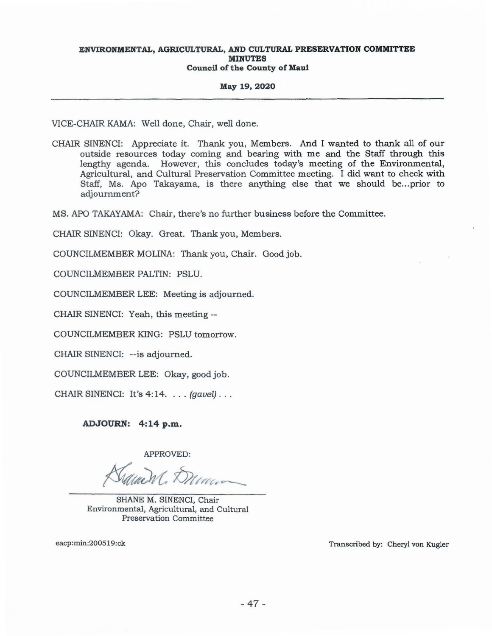#### May 19, 2020

VICE-CHAIR KAMA: Well done, Chair, well done.

CHAIR SINENCI: Appreciate it. Thank you, Members. And I wanted to thank all of our outside resources today coming and bearing with me and the Staff through this lengthy agenda. However, this concludes today's meeting of the Environmental, Agricultural, and Cultural Preservation Committee meeting. I did want to check with Staff, Ms. Apo Takayama, is there anything else that we should be...prior to adjournment?

MS. APO TAKAYAMA: Chair, there's no further business before the Committee.

CHAIR SINENCI: Okay. Great. Thank you, Members.

COUNCILMEMBER MOLINA: Thank you, Chair. Good job.

COUNCILMEMBER PALTIN: PSLU.

COUNCILMEMBER LEE: Meeting is adjourned.

CHAIR SINENCI: Yeah, this meeting --

COUNCILMEMBER KING: PSLU tomorrow.

CHAIR SINENCI: -- is adjourned.

COUNCILMEMBER LEE: Okay, good job.

CHAIR SINENCI: It's 4:14. . . . (gavel) . . .

ADJOURN: 4:14 p.m.

APPROVED:

 $M$ ,  $\overleftrightarrow{D}$ 

SHANE M. SINENCI, Chair Environmental, Agricultural, and Cultural Preservation Committee

eacp:min:200519:ck

Transcribed by: Cheryl von Kugler